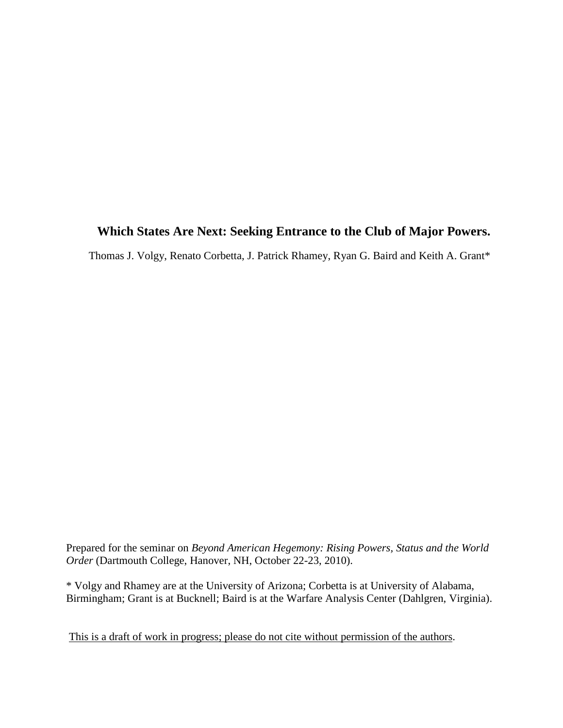# **Which States Are Next: Seeking Entrance to the Club of Major Powers.**

Thomas J. Volgy, Renato Corbetta, J. Patrick Rhamey, Ryan G. Baird and Keith A. Grant\*

Prepared for the seminar on *Beyond American Hegemony: Rising Powers, Status and the World Order* (Dartmouth College, Hanover, NH, October 22-23, 2010).

\* Volgy and Rhamey are at the University of Arizona; Corbetta is at University of Alabama, Birmingham; Grant is at Bucknell; Baird is at the Warfare Analysis Center (Dahlgren, Virginia).

This is a draft of work in progress; please do not cite without permission of the authors.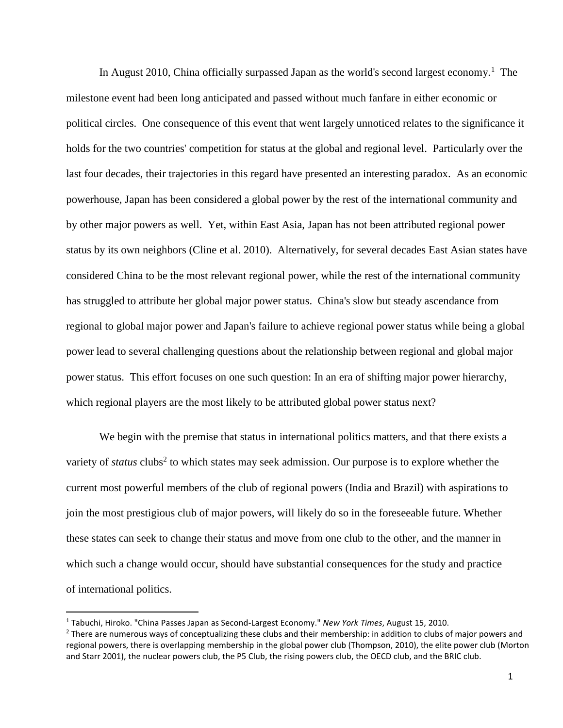In August 2010, China officially surpassed Japan as the world's second largest economy.<sup>1</sup> The milestone event had been long anticipated and passed without much fanfare in either economic or political circles. One consequence of this event that went largely unnoticed relates to the significance it holds for the two countries' competition for status at the global and regional level. Particularly over the last four decades, their trajectories in this regard have presented an interesting paradox. As an economic powerhouse, Japan has been considered a global power by the rest of the international community and by other major powers as well. Yet, within East Asia, Japan has not been attributed regional power status by its own neighbors (Cline et al. 2010). Alternatively, for several decades East Asian states have considered China to be the most relevant regional power, while the rest of the international community has struggled to attribute her global major power status. China's slow but steady ascendance from regional to global major power and Japan's failure to achieve regional power status while being a global power lead to several challenging questions about the relationship between regional and global major power status. This effort focuses on one such question: In an era of shifting major power hierarchy, which regional players are the most likely to be attributed global power status next?

We begin with the premise that status in international politics matters, and that there exists a variety of *status* clubs<sup>2</sup> to which states may seek admission. Our purpose is to explore whether the current most powerful members of the club of regional powers (India and Brazil) with aspirations to join the most prestigious club of major powers, will likely do so in the foreseeable future. Whether these states can seek to change their status and move from one club to the other, and the manner in which such a change would occur, should have substantial consequences for the study and practice of international politics.

 $\overline{a}$ 

<sup>1</sup> Tabuchi, Hiroko. "China Passes Japan as Second-Largest Economy." *New York Times*, August 15, 2010.

 $<sup>2</sup>$  There are numerous ways of conceptualizing these clubs and their membership: in addition to clubs of major powers and</sup> regional powers, there is overlapping membership in the global power club (Thompson, 2010), the elite power club (Morton and Starr 2001), the nuclear powers club, the P5 Club, the rising powers club, the OECD club, and the BRIC club.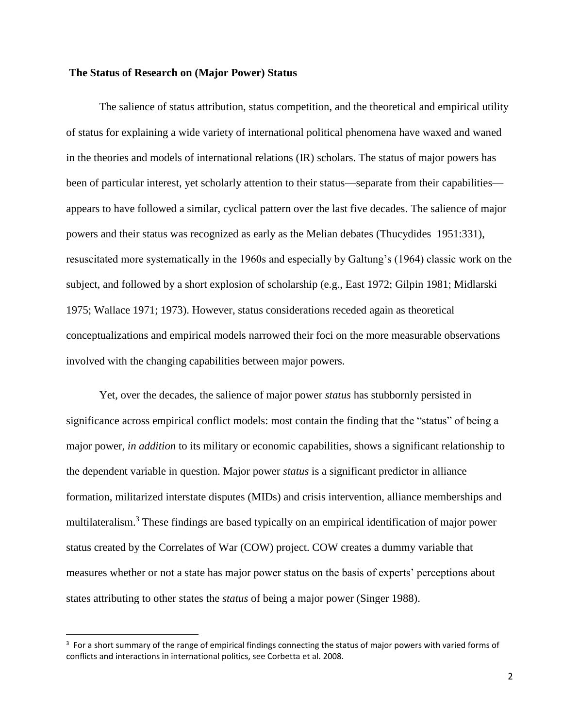## **The Status of Research on (Major Power) Status**

The salience of status attribution, status competition, and the theoretical and empirical utility of status for explaining a wide variety of international political phenomena have waxed and waned in the theories and models of international relations (IR) scholars. The status of major powers has been of particular interest, yet scholarly attention to their status—separate from their capabilities appears to have followed a similar, cyclical pattern over the last five decades. The salience of major powers and their status was recognized as early as the Melian debates (Thucydides 1951:331), resuscitated more systematically in the 1960s and especially by Galtung's (1964) classic work on the subject, and followed by a short explosion of scholarship (e.g., East 1972; Gilpin 1981; Midlarski 1975; Wallace 1971; 1973). However, status considerations receded again as theoretical conceptualizations and empirical models narrowed their foci on the more measurable observations involved with the changing capabilities between major powers.

Yet, over the decades, the salience of major power *status* has stubbornly persisted in significance across empirical conflict models: most contain the finding that the "status" of being a major power*, in addition* to its military or economic capabilities, shows a significant relationship to the dependent variable in question. Major power *status* is a significant predictor in alliance formation, militarized interstate disputes (MIDs) and crisis intervention, alliance memberships and multilateralism.<sup>3</sup> These findings are based typically on an empirical identification of major power status created by the Correlates of War (COW) project. COW creates a dummy variable that measures whether or not a state has major power status on the basis of experts' perceptions about states attributing to other states the *status* of being a major power (Singer 1988).

l

 $3$  For a short summary of the range of empirical findings connecting the status of major powers with varied forms of conflicts and interactions in international politics, see Corbetta et al. 2008.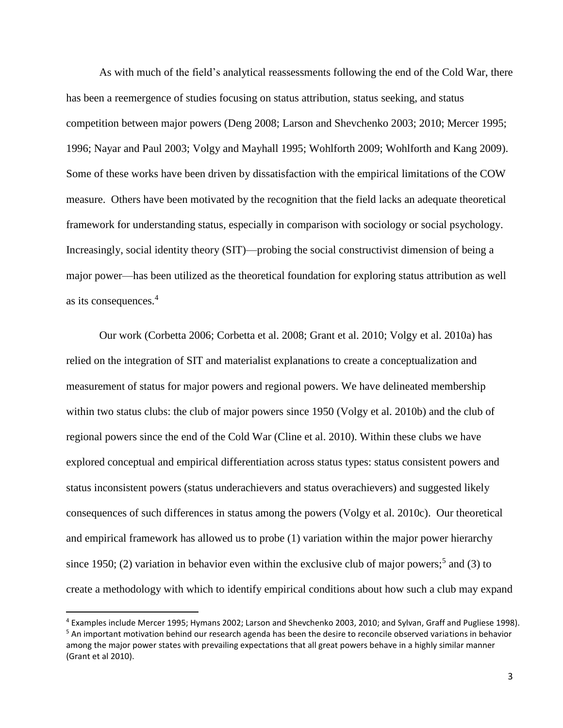As with much of the field's analytical reassessments following the end of the Cold War, there has been a reemergence of studies focusing on status attribution, status seeking, and status competition between major powers (Deng 2008; Larson and Shevchenko 2003; 2010; Mercer 1995; 1996; Nayar and Paul 2003; Volgy and Mayhall 1995; Wohlforth 2009; Wohlforth and Kang 2009). Some of these works have been driven by dissatisfaction with the empirical limitations of the COW measure. Others have been motivated by the recognition that the field lacks an adequate theoretical framework for understanding status, especially in comparison with sociology or social psychology. Increasingly, social identity theory (SIT)—probing the social constructivist dimension of being a major power—has been utilized as the theoretical foundation for exploring status attribution as well as its consequences.<sup>4</sup>

Our work (Corbetta 2006; Corbetta et al. 2008; Grant et al. 2010; Volgy et al. 2010a) has relied on the integration of SIT and materialist explanations to create a conceptualization and measurement of status for major powers and regional powers. We have delineated membership within two status clubs: the club of major powers since 1950 (Volgy et al. 2010b) and the club of regional powers since the end of the Cold War (Cline et al. 2010). Within these clubs we have explored conceptual and empirical differentiation across status types: status consistent powers and status inconsistent powers (status underachievers and status overachievers) and suggested likely consequences of such differences in status among the powers (Volgy et al. 2010c). Our theoretical and empirical framework has allowed us to probe (1) variation within the major power hierarchy since 1950; (2) variation in behavior even within the exclusive club of major powers;<sup>5</sup> and (3) to create a methodology with which to identify empirical conditions about how such a club may expand

 $\overline{a}$ 

<sup>4</sup> Examples include Mercer 1995; Hymans 2002; Larson and Shevchenko 2003, 2010; and Sylvan, Graff and Pugliese 1998). <sup>5</sup> An important motivation behind our research agenda has been the desire to reconcile observed variations in behavior among the major power states with prevailing expectations that all great powers behave in a highly similar manner (Grant et al 2010).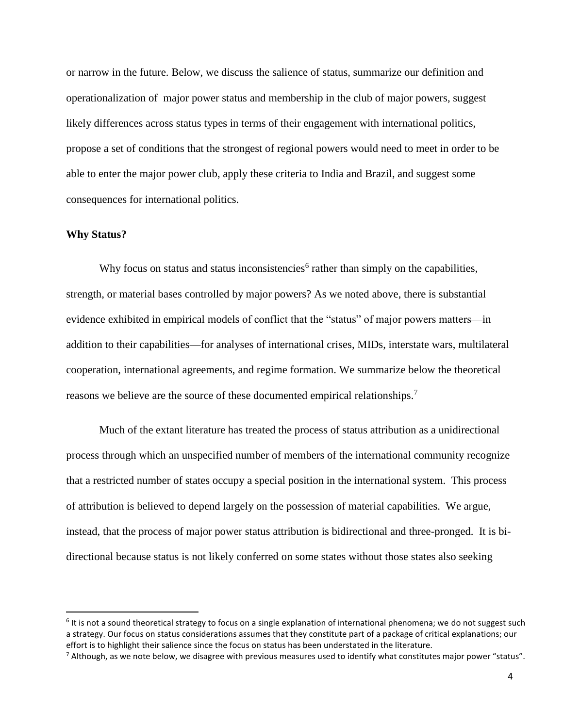or narrow in the future. Below, we discuss the salience of status, summarize our definition and operationalization of major power status and membership in the club of major powers, suggest likely differences across status types in terms of their engagement with international politics, propose a set of conditions that the strongest of regional powers would need to meet in order to be able to enter the major power club, apply these criteria to India and Brazil, and suggest some consequences for international politics.

## **Why Status?**

 $\overline{a}$ 

Why focus on status and status inconsistencies<sup>6</sup> rather than simply on the capabilities, strength, or material bases controlled by major powers? As we noted above, there is substantial evidence exhibited in empirical models of conflict that the "status" of major powers matters—in addition to their capabilities—for analyses of international crises, MIDs, interstate wars, multilateral cooperation, international agreements, and regime formation. We summarize below the theoretical reasons we believe are the source of these documented empirical relationships.<sup>7</sup>

Much of the extant literature has treated the process of status attribution as a unidirectional process through which an unspecified number of members of the international community recognize that a restricted number of states occupy a special position in the international system. This process of attribution is believed to depend largely on the possession of material capabilities. We argue, instead, that the process of major power status attribution is bidirectional and three-pronged. It is bidirectional because status is not likely conferred on some states without those states also seeking

<sup>&</sup>lt;sup>6</sup> It is not a sound theoretical strategy to focus on a single explanation of international phenomena; we do not suggest such a strategy. Our focus on status considerations assumes that they constitute part of a package of critical explanations; our effort is to highlight their salience since the focus on status has been understated in the literature.

 $^7$  Although, as we note below, we disagree with previous measures used to identify what constitutes major power "status".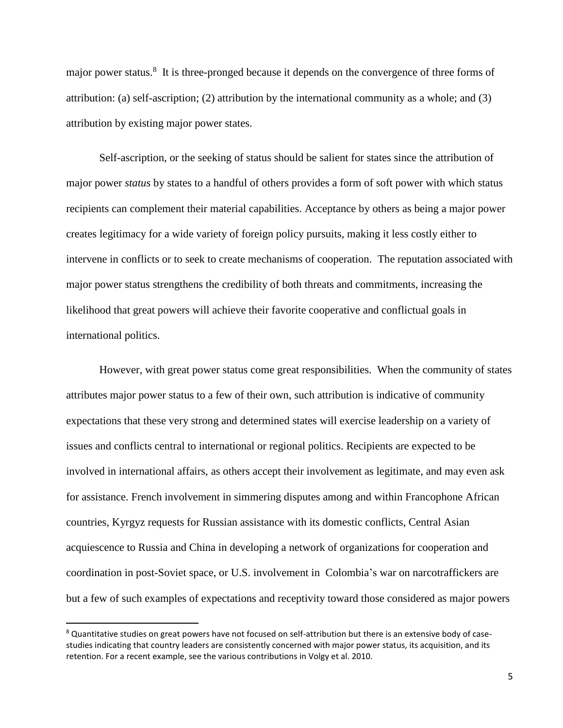major power status.<sup>8</sup> It is three-pronged because it depends on the convergence of three forms of attribution: (a) self-ascription; (2) attribution by the international community as a whole; and (3) attribution by existing major power states.

Self-ascription, or the seeking of status should be salient for states since the attribution of major power *status* by states to a handful of others provides a form of soft power with which status recipients can complement their material capabilities. Acceptance by others as being a major power creates legitimacy for a wide variety of foreign policy pursuits, making it less costly either to intervene in conflicts or to seek to create mechanisms of cooperation. The reputation associated with major power status strengthens the credibility of both threats and commitments, increasing the likelihood that great powers will achieve their favorite cooperative and conflictual goals in international politics.

However, with great power status come great responsibilities. When the community of states attributes major power status to a few of their own, such attribution is indicative of community expectations that these very strong and determined states will exercise leadership on a variety of issues and conflicts central to international or regional politics. Recipients are expected to be involved in international affairs, as others accept their involvement as legitimate, and may even ask for assistance. French involvement in simmering disputes among and within Francophone African countries, Kyrgyz requests for Russian assistance with its domestic conflicts, Central Asian acquiescence to Russia and China in developing a network of organizations for cooperation and coordination in post-Soviet space, or U.S. involvement in Colombia's war on narcotraffickers are but a few of such examples of expectations and receptivity toward those considered as major powers

<sup>&</sup>lt;sup>8</sup> Quantitative studies on great powers have not focused on self-attribution but there is an extensive body of casestudies indicating that country leaders are consistently concerned with major power status, its acquisition, and its retention. For a recent example, see the various contributions in Volgy et al. 2010.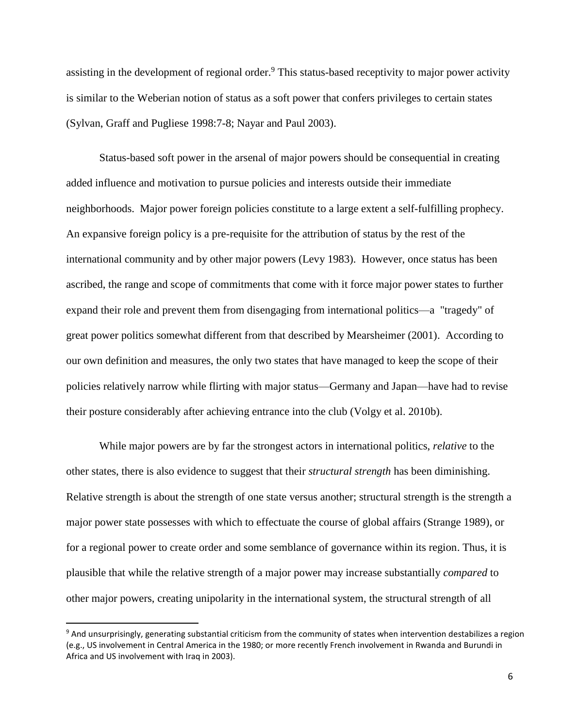assisting in the development of regional order.<sup>9</sup> This status-based receptivity to major power activity is similar to the Weberian notion of status as a soft power that confers privileges to certain states (Sylvan, Graff and Pugliese 1998:7-8; Nayar and Paul 2003).

Status-based soft power in the arsenal of major powers should be consequential in creating added influence and motivation to pursue policies and interests outside their immediate neighborhoods. Major power foreign policies constitute to a large extent a self-fulfilling prophecy. An expansive foreign policy is a pre-requisite for the attribution of status by the rest of the international community and by other major powers (Levy 1983). However, once status has been ascribed, the range and scope of commitments that come with it force major power states to further expand their role and prevent them from disengaging from international politics—a "tragedy" of great power politics somewhat different from that described by Mearsheimer (2001). According to our own definition and measures, the only two states that have managed to keep the scope of their policies relatively narrow while flirting with major status—Germany and Japan—have had to revise their posture considerably after achieving entrance into the club (Volgy et al. 2010b).

While major powers are by far the strongest actors in international politics, *relative* to the other states, there is also evidence to suggest that their *structural strength* has been diminishing. Relative strength is about the strength of one state versus another; structural strength is the strength a major power state possesses with which to effectuate the course of global affairs (Strange 1989), or for a regional power to create order and some semblance of governance within its region. Thus, it is plausible that while the relative strength of a major power may increase substantially *compared* to other major powers, creating unipolarity in the international system, the structural strength of all

<sup>&</sup>lt;sup>9</sup> And unsurprisingly, generating substantial criticism from the community of states when intervention destabilizes a region (e.g., US involvement in Central America in the 1980; or more recently French involvement in Rwanda and Burundi in Africa and US involvement with Iraq in 2003).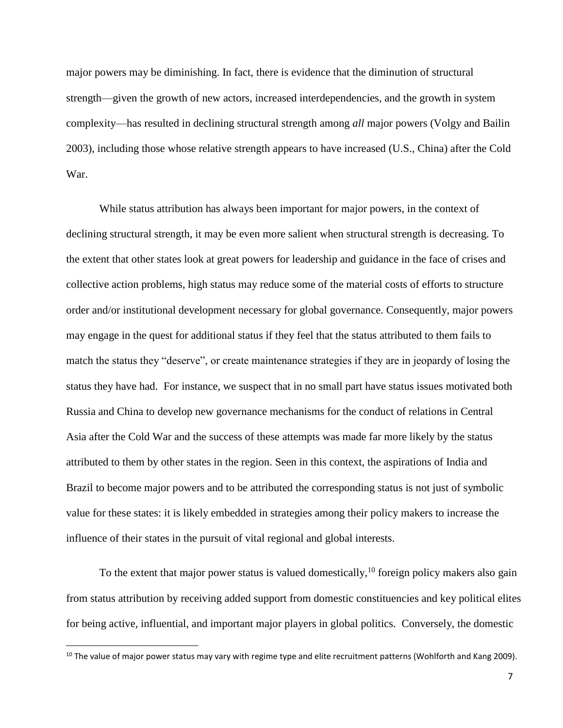major powers may be diminishing. In fact, there is evidence that the diminution of structural strength—given the growth of new actors, increased interdependencies, and the growth in system complexity—has resulted in declining structural strength among *all* major powers (Volgy and Bailin 2003), including those whose relative strength appears to have increased (U.S., China) after the Cold War.

While status attribution has always been important for major powers, in the context of declining structural strength, it may be even more salient when structural strength is decreasing. To the extent that other states look at great powers for leadership and guidance in the face of crises and collective action problems, high status may reduce some of the material costs of efforts to structure order and/or institutional development necessary for global governance. Consequently, major powers may engage in the quest for additional status if they feel that the status attributed to them fails to match the status they "deserve", or create maintenance strategies if they are in jeopardy of losing the status they have had. For instance, we suspect that in no small part have status issues motivated both Russia and China to develop new governance mechanisms for the conduct of relations in Central Asia after the Cold War and the success of these attempts was made far more likely by the status attributed to them by other states in the region. Seen in this context, the aspirations of India and Brazil to become major powers and to be attributed the corresponding status is not just of symbolic value for these states: it is likely embedded in strategies among their policy makers to increase the influence of their states in the pursuit of vital regional and global interests.

To the extent that major power status is valued domestically,  $10$  foreign policy makers also gain from status attribution by receiving added support from domestic constituencies and key political elites for being active, influential, and important major players in global politics. Conversely, the domestic

 $10$  The value of major power status may vary with regime type and elite recruitment patterns (Wohlforth and Kang 2009).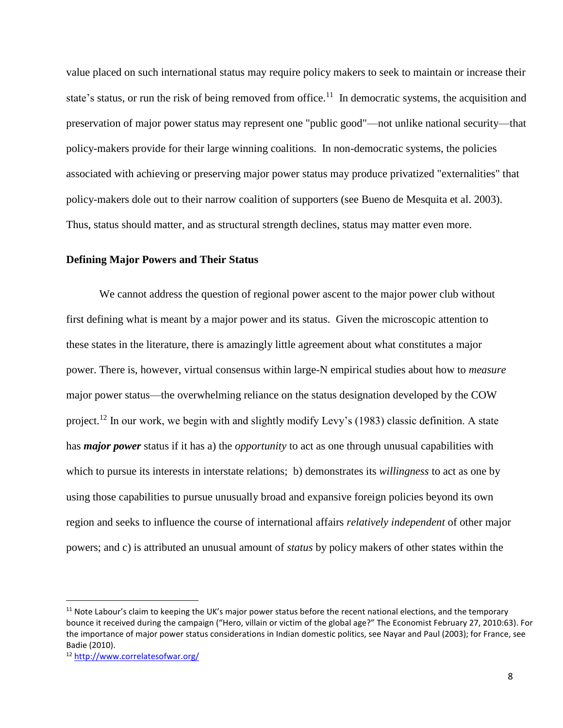value placed on such international status may require policy makers to seek to maintain or increase their state's status, or run the risk of being removed from office.<sup>11</sup> In democratic systems, the acquisition and preservation of major power status may represent one "public good"—not unlike national security—that policy-makers provide for their large winning coalitions. In non-democratic systems, the policies associated with achieving or preserving major power status may produce privatized "externalities" that policy-makers dole out to their narrow coalition of supporters (see Bueno de Mesquita et al. 2003). Thus, status should matter, and as structural strength declines, status may matter even more.

#### **Defining Major Powers and Their Status**

We cannot address the question of regional power ascent to the major power club without first defining what is meant by a major power and its status. Given the microscopic attention to these states in the literature, there is amazingly little agreement about what constitutes a major power. There is, however, virtual consensus within large-N empirical studies about how to *measure* major power status—the overwhelming reliance on the status designation developed by the COW project.<sup>12</sup> In our work, we begin with and slightly modify Levy's (1983) classic definition. A state has *major power* status if it has a) the *opportunity* to act as one through unusual capabilities with which to pursue its interests in interstate relations; b) demonstrates its *willingness* to act as one by using those capabilities to pursue unusually broad and expansive foreign policies beyond its own region and seeks to influence the course of international affairs *relatively independent* of other major powers; and c) is attributed an unusual amount of *status* by policy makers of other states within the

l

 $11$  Note Labour's claim to keeping the UK's major power status before the recent national elections, and the temporary bounce it received during the campaign ("Hero, villain or victim of the global age?" The Economist February 27, 2010:63). For the importance of major power status considerations in Indian domestic politics, see Nayar and Paul (2003); for France, see Badie (2010).

<sup>12</sup> http://www.correlatesofwar.org/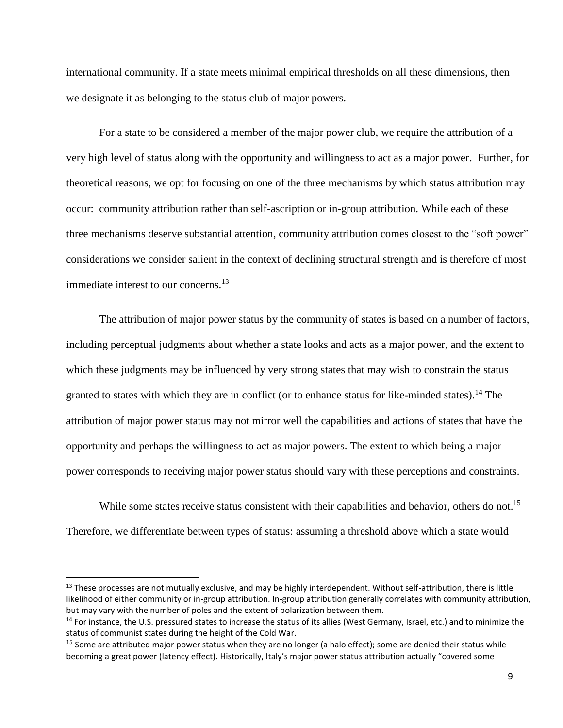international community. If a state meets minimal empirical thresholds on all these dimensions, then we designate it as belonging to the status club of major powers.

For a state to be considered a member of the major power club, we require the attribution of a very high level of status along with the opportunity and willingness to act as a major power. Further, for theoretical reasons, we opt for focusing on one of the three mechanisms by which status attribution may occur: community attribution rather than self-ascription or in-group attribution. While each of these three mechanisms deserve substantial attention, community attribution comes closest to the "soft power" considerations we consider salient in the context of declining structural strength and is therefore of most immediate interest to our concerns.<sup>13</sup>

The attribution of major power status by the community of states is based on a number of factors, including perceptual judgments about whether a state looks and acts as a major power, and the extent to which these judgments may be influenced by very strong states that may wish to constrain the status granted to states with which they are in conflict (or to enhance status for like-minded states).<sup>14</sup> The attribution of major power status may not mirror well the capabilities and actions of states that have the opportunity and perhaps the willingness to act as major powers. The extent to which being a major power corresponds to receiving major power status should vary with these perceptions and constraints.

While some states receive status consistent with their capabilities and behavior, others do not.<sup>15</sup> Therefore, we differentiate between types of status: assuming a threshold above which a state would

l

 $13$  These processes are not mutually exclusive, and may be highly interdependent. Without self-attribution, there is little likelihood of either community or in-group attribution. In-group attribution generally correlates with community attribution, but may vary with the number of poles and the extent of polarization between them.

<sup>&</sup>lt;sup>14</sup> For instance, the U.S. pressured states to increase the status of its allies (West Germany, Israel, etc.) and to minimize the status of communist states during the height of the Cold War.

<sup>&</sup>lt;sup>15</sup> Some are attributed major power status when they are no longer (a halo effect); some are denied their status while becoming a great power (latency effect). Historically, Italy's major power status attribution actually "covered some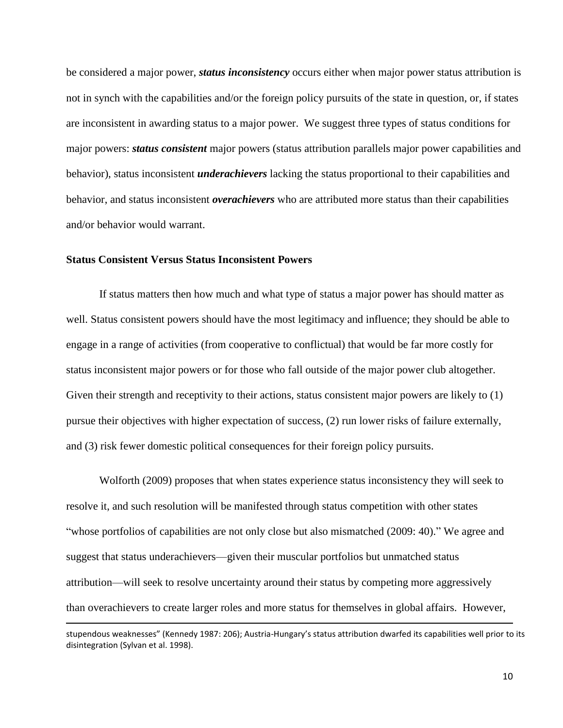be considered a major power, *status inconsistency* occurs either when major power status attribution is not in synch with the capabilities and/or the foreign policy pursuits of the state in question, or, if states are inconsistent in awarding status to a major power. We suggest three types of status conditions for major powers: *status consistent* major powers (status attribution parallels major power capabilities and behavior), status inconsistent *underachievers* lacking the status proportional to their capabilities and behavior, and status inconsistent *overachievers* who are attributed more status than their capabilities and/or behavior would warrant.

## **Status Consistent Versus Status Inconsistent Powers**

 $\overline{\phantom{a}}$ 

If status matters then how much and what type of status a major power has should matter as well. Status consistent powers should have the most legitimacy and influence; they should be able to engage in a range of activities (from cooperative to conflictual) that would be far more costly for status inconsistent major powers or for those who fall outside of the major power club altogether. Given their strength and receptivity to their actions, status consistent major powers are likely to (1) pursue their objectives with higher expectation of success, (2) run lower risks of failure externally, and (3) risk fewer domestic political consequences for their foreign policy pursuits.

Wolforth (2009) proposes that when states experience status inconsistency they will seek to resolve it, and such resolution will be manifested through status competition with other states "whose portfolios of capabilities are not only close but also mismatched (2009: 40)." We agree and suggest that status underachievers—given their muscular portfolios but unmatched status attribution—will seek to resolve uncertainty around their status by competing more aggressively than overachievers to create larger roles and more status for themselves in global affairs. However,

stupendous weaknesses" (Kennedy 1987: 206); Austria-Hungary's status attribution dwarfed its capabilities well prior to its disintegration (Sylvan et al. 1998).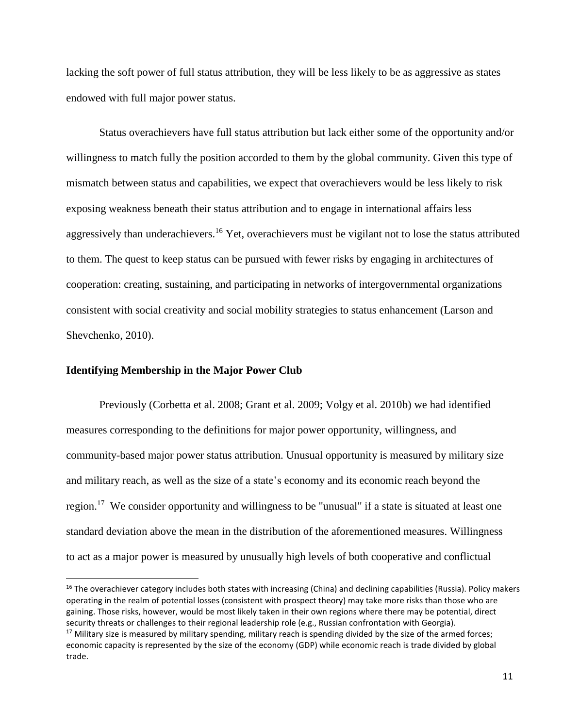lacking the soft power of full status attribution, they will be less likely to be as aggressive as states endowed with full major power status.

Status overachievers have full status attribution but lack either some of the opportunity and/or willingness to match fully the position accorded to them by the global community. Given this type of mismatch between status and capabilities, we expect that overachievers would be less likely to risk exposing weakness beneath their status attribution and to engage in international affairs less aggressively than underachievers.<sup>16</sup> Yet, overachievers must be vigilant not to lose the status attributed to them. The quest to keep status can be pursued with fewer risks by engaging in architectures of cooperation: creating, sustaining, and participating in networks of intergovernmental organizations consistent with social creativity and social mobility strategies to status enhancement (Larson and Shevchenko, 2010).

# **Identifying Membership in the Major Power Club**

 $\overline{\phantom{a}}$ 

Previously (Corbetta et al. 2008; Grant et al. 2009; Volgy et al. 2010b) we had identified measures corresponding to the definitions for major power opportunity, willingness, and community-based major power status attribution. Unusual opportunity is measured by military size and military reach, as well as the size of a state's economy and its economic reach beyond the region.<sup>17</sup> We consider opportunity and willingness to be "unusual" if a state is situated at least one standard deviation above the mean in the distribution of the aforementioned measures. Willingness to act as a major power is measured by unusually high levels of both cooperative and conflictual

<sup>&</sup>lt;sup>16</sup> The overachiever category includes both states with increasing (China) and declining capabilities (Russia). Policy makers operating in the realm of potential losses (consistent with prospect theory) may take more risks than those who are gaining. Those risks, however, would be most likely taken in their own regions where there may be potential, direct security threats or challenges to their regional leadership role (e.g., Russian confrontation with Georgia).  $17$  Military size is measured by military spending, military reach is spending divided by the size of the armed forces; economic capacity is represented by the size of the economy (GDP) while economic reach is trade divided by global trade.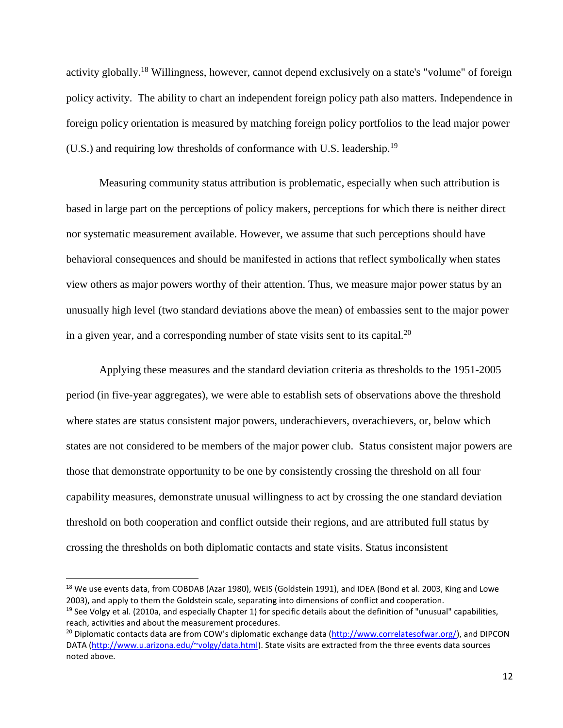activity globally.<sup>18</sup> Willingness, however, cannot depend exclusively on a state's "volume" of foreign policy activity. The ability to chart an independent foreign policy path also matters. Independence in foreign policy orientation is measured by matching foreign policy portfolios to the lead major power (U.S.) and requiring low thresholds of conformance with U.S. leadership.<sup>19</sup>

Measuring community status attribution is problematic, especially when such attribution is based in large part on the perceptions of policy makers, perceptions for which there is neither direct nor systematic measurement available. However, we assume that such perceptions should have behavioral consequences and should be manifested in actions that reflect symbolically when states view others as major powers worthy of their attention. Thus, we measure major power status by an unusually high level (two standard deviations above the mean) of embassies sent to the major power in a given year, and a corresponding number of state visits sent to its capital.<sup>20</sup>

Applying these measures and the standard deviation criteria as thresholds to the 1951-2005 period (in five-year aggregates), we were able to establish sets of observations above the threshold where states are status consistent major powers, underachievers, overachievers, or, below which states are not considered to be members of the major power club. Status consistent major powers are those that demonstrate opportunity to be one by consistently crossing the threshold on all four capability measures, demonstrate unusual willingness to act by crossing the one standard deviation threshold on both cooperation and conflict outside their regions, and are attributed full status by crossing the thresholds on both diplomatic contacts and state visits. Status inconsistent

<sup>&</sup>lt;sup>18</sup> We use events data, from COBDAB (Azar 1980), WEIS (Goldstein 1991), and IDEA (Bond et al. 2003, King and Lowe 2003), and apply to them the Goldstein scale, separating into dimensions of conflict and cooperation.  $19$  See Volgy et al. (2010a, and especially Chapter 1) for specific details about the definition of "unusual" capabilities,

reach, activities and about the measurement procedures.

<sup>&</sup>lt;sup>20</sup> Diplomatic contacts data are from COW's diplomatic exchange data [\(http://www.correlatesofwar.org/\)](http://www.correlatesofwar.org/), and DIPCON DATA [\(http://www.u.arizona.edu/~volgy/data.html\)](http://www.u.arizona.edu/~volgy/data.html). State visits are extracted from the three events data sources noted above.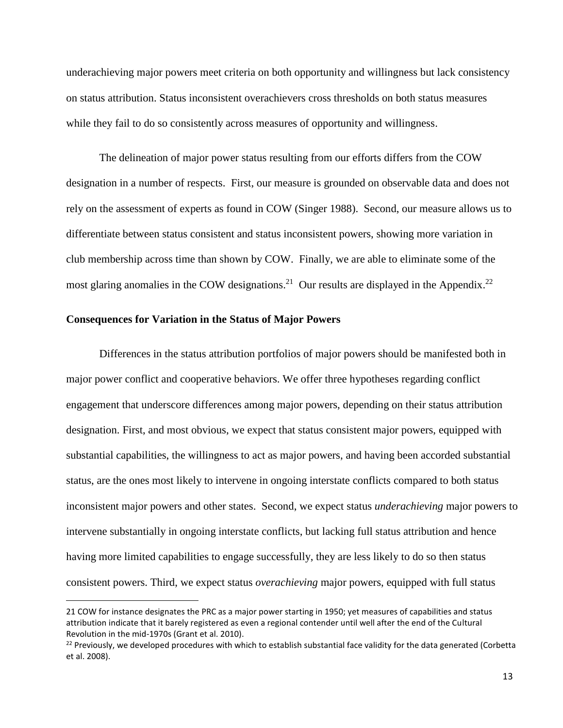underachieving major powers meet criteria on both opportunity and willingness but lack consistency on status attribution. Status inconsistent overachievers cross thresholds on both status measures while they fail to do so consistently across measures of opportunity and willingness.

The delineation of major power status resulting from our efforts differs from the COW designation in a number of respects. First, our measure is grounded on observable data and does not rely on the assessment of experts as found in COW (Singer 1988). Second, our measure allows us to differentiate between status consistent and status inconsistent powers, showing more variation in club membership across time than shown by COW. Finally, we are able to eliminate some of the most glaring anomalies in the COW designations.<sup>21</sup> Our results are displayed in the Appendix.<sup>22</sup>

## **Consequences for Variation in the Status of Major Powers**

l

Differences in the status attribution portfolios of major powers should be manifested both in major power conflict and cooperative behaviors. We offer three hypotheses regarding conflict engagement that underscore differences among major powers, depending on their status attribution designation. First, and most obvious, we expect that status consistent major powers, equipped with substantial capabilities, the willingness to act as major powers, and having been accorded substantial status, are the ones most likely to intervene in ongoing interstate conflicts compared to both status inconsistent major powers and other states. Second, we expect status *underachieving* major powers to intervene substantially in ongoing interstate conflicts, but lacking full status attribution and hence having more limited capabilities to engage successfully, they are less likely to do so then status consistent powers. Third, we expect status *overachieving* major powers, equipped with full status

<sup>21</sup> COW for instance designates the PRC as a major power starting in 1950; yet measures of capabilities and status attribution indicate that it barely registered as even a regional contender until well after the end of the Cultural Revolution in the mid-1970s (Grant et al. 2010).

 $22$  Previously, we developed procedures with which to establish substantial face validity for the data generated (Corbetta et al. 2008).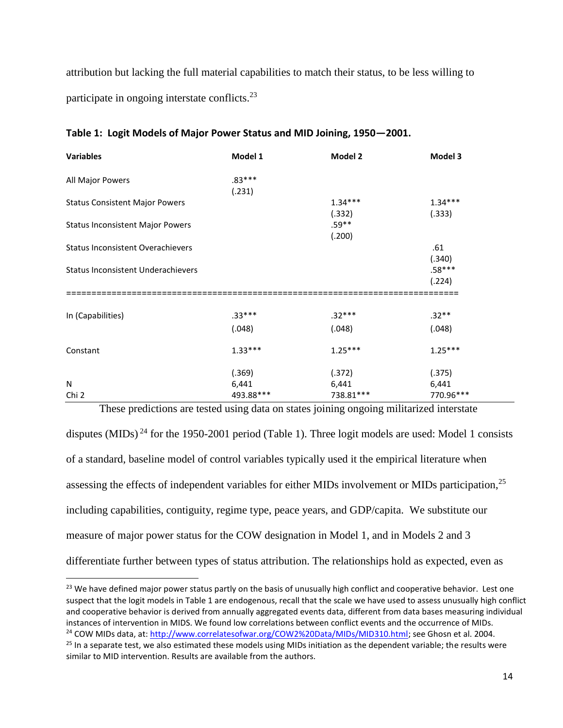attribution but lacking the full material capabilities to match their status, to be less willing to participate in ongoing interstate conflicts.<sup>23</sup>

| <b>Variables</b>                          | Model 1   | Model 2    | Model 3   |
|-------------------------------------------|-----------|------------|-----------|
| All Major Powers                          | $.83***$  |            |           |
|                                           | (.231)    |            |           |
| <b>Status Consistent Major Powers</b>     |           | $1.34***$  | $1.34***$ |
|                                           |           | (.332)     | (.333)    |
| <b>Status Inconsistent Major Powers</b>   |           | $.59**$    |           |
|                                           |           | (.200)     |           |
| <b>Status Inconsistent Overachievers</b>  |           |            | .61       |
|                                           |           |            | (.340)    |
| <b>Status Inconsistent Underachievers</b> |           |            | $.58***$  |
|                                           |           |            | (.224)    |
| In (Capabilities)                         | $.33***$  | $.32***$   | $.32**$   |
|                                           | (.048)    | (.048)     | (.048)    |
| Constant                                  | $1.33***$ | $1.25***$  | $1.25***$ |
|                                           | (.369)    | (.372)     | (.375)    |
| N                                         | 6,441     | 6,441      | 6,441     |
| Chi 2                                     | 493.88*** | 738.81 *** | 770.96*** |

#### **Table 1: Logit Models of Major Power Status and MID Joining, 1950—2001.**

These predictions are tested using data on states joining ongoing militarized interstate

disputes (MIDs)<sup>24</sup> for the 1950-2001 period (Table 1). Three logit models are used: Model 1 consists of a standard, baseline model of control variables typically used it the empirical literature when assessing the effects of independent variables for either MIDs involvement or MIDs participation,<sup>25</sup> including capabilities, contiguity, regime type, peace years, and GDP/capita. We substitute our measure of major power status for the COW designation in Model 1, and in Models 2 and 3 differentiate further between types of status attribution. The relationships hold as expected, even as

<sup>&</sup>lt;sup>23</sup> We have defined major power status partly on the basis of unusually high conflict and cooperative behavior. Lest one suspect that the logit models in Table 1 are endogenous, recall that the scale we have used to assess unusually high conflict and cooperative behavior is derived from annually aggregated events data, different from data bases measuring individual instances of intervention in MIDS. We found low correlations between conflict events and the occurrence of MIDs. <sup>24</sup> COW MIDs data, at[: http://www.correlatesofwar.org/COW2%20Data/MIDs/MID310.html;](http://www.correlatesofwar.org/COW2%20Data/MIDs/MID310.html) see Ghosn et al. 2004.  $25$  In a separate test, we also estimated these models using MIDs initiation as the dependent variable; the results were similar to MID intervention. Results are available from the authors.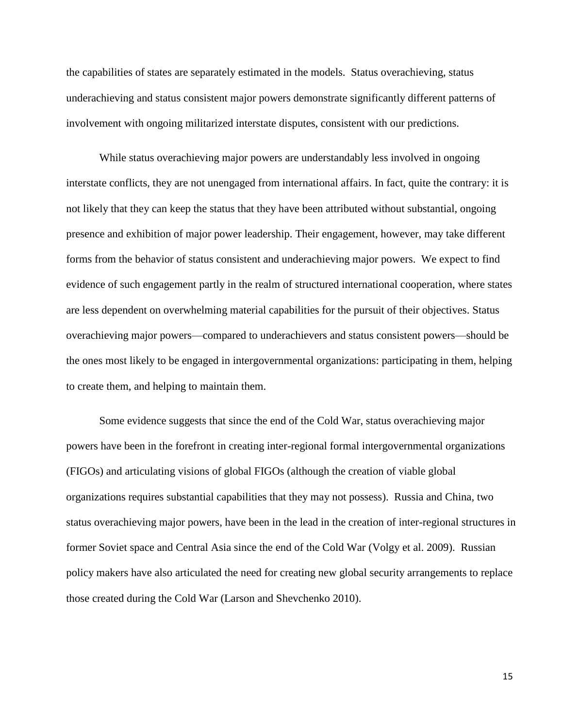the capabilities of states are separately estimated in the models. Status overachieving, status underachieving and status consistent major powers demonstrate significantly different patterns of involvement with ongoing militarized interstate disputes, consistent with our predictions.

While status overachieving major powers are understandably less involved in ongoing interstate conflicts, they are not unengaged from international affairs. In fact, quite the contrary: it is not likely that they can keep the status that they have been attributed without substantial, ongoing presence and exhibition of major power leadership. Their engagement, however, may take different forms from the behavior of status consistent and underachieving major powers. We expect to find evidence of such engagement partly in the realm of structured international cooperation, where states are less dependent on overwhelming material capabilities for the pursuit of their objectives. Status overachieving major powers—compared to underachievers and status consistent powers—should be the ones most likely to be engaged in intergovernmental organizations: participating in them, helping to create them, and helping to maintain them.

Some evidence suggests that since the end of the Cold War, status overachieving major powers have been in the forefront in creating inter-regional formal intergovernmental organizations (FIGOs) and articulating visions of global FIGOs (although the creation of viable global organizations requires substantial capabilities that they may not possess). Russia and China, two status overachieving major powers, have been in the lead in the creation of inter-regional structures in former Soviet space and Central Asia since the end of the Cold War (Volgy et al. 2009). Russian policy makers have also articulated the need for creating new global security arrangements to replace those created during the Cold War (Larson and Shevchenko 2010).

15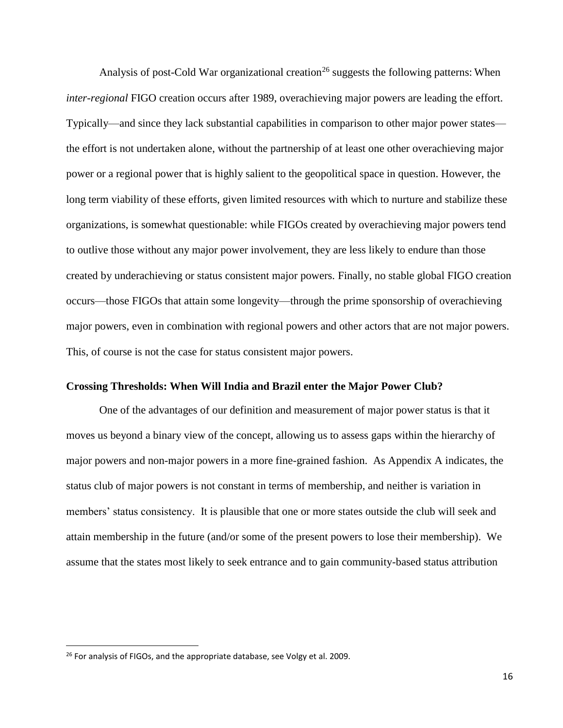Analysis of post-Cold War organizational creation<sup>26</sup> suggests the following patterns: When *inter-regional* FIGO creation occurs after 1989, overachieving major powers are leading the effort. Typically—and since they lack substantial capabilities in comparison to other major power states the effort is not undertaken alone, without the partnership of at least one other overachieving major power or a regional power that is highly salient to the geopolitical space in question. However, the long term viability of these efforts, given limited resources with which to nurture and stabilize these organizations, is somewhat questionable: while FIGOs created by overachieving major powers tend to outlive those without any major power involvement, they are less likely to endure than those created by underachieving or status consistent major powers. Finally, no stable global FIGO creation occurs—those FIGOs that attain some longevity—through the prime sponsorship of overachieving major powers, even in combination with regional powers and other actors that are not major powers. This, of course is not the case for status consistent major powers.

#### **Crossing Thresholds: When Will India and Brazil enter the Major Power Club?**

One of the advantages of our definition and measurement of major power status is that it moves us beyond a binary view of the concept, allowing us to assess gaps within the hierarchy of major powers and non-major powers in a more fine-grained fashion. As Appendix A indicates, the status club of major powers is not constant in terms of membership, and neither is variation in members' status consistency. It is plausible that one or more states outside the club will seek and attain membership in the future (and/or some of the present powers to lose their membership). We assume that the states most likely to seek entrance and to gain community-based status attribution

<sup>&</sup>lt;sup>26</sup> For analysis of FIGOs, and the appropriate database, see Volgy et al. 2009.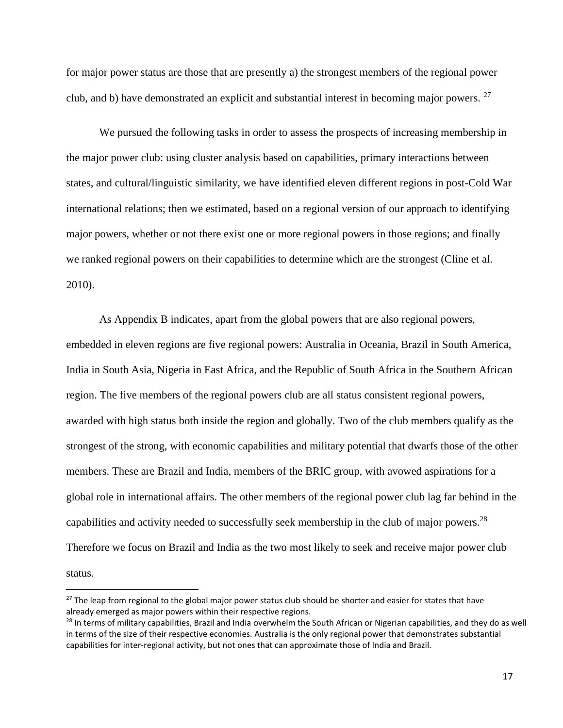for major power status are those that are presently a) the strongest members of the regional power club, and b) have demonstrated an explicit and substantial interest in becoming major powers. <sup>27</sup>

We pursued the following tasks in order to assess the prospects of increasing membership in the major power club: using cluster analysis based on capabilities, primary interactions between states, and cultural/linguistic similarity, we have identified eleven different regions in post-Cold War international relations; then we estimated, based on a regional version of our approach to identifying major powers, whether or not there exist one or more regional powers in those regions; and finally we ranked regional powers on their capabilities to determine which are the strongest (Cline et al. 2010).

As Appendix B indicates, apart from the global powers that are also regional powers, embedded in eleven regions are five regional powers: Australia in Oceania, Brazil in South America, India in South Asia, Nigeria in East Africa, and the Republic of South Africa in the Southern African region. The five members of the regional powers club are all status consistent regional powers, awarded with high status both inside the region and globally. Two of the club members qualify as the strongest of the strong, with economic capabilities and military potential that dwarfs those of the other members. These are Brazil and India, members of the BRIC group, with avowed aspirations for a global role in international affairs. The other members of the regional power club lag far behind in the capabilities and activity needed to successfully seek membership in the club of major powers.<sup>28</sup> Therefore we focus on Brazil and India as the two most likely to seek and receive major power club status.

 $\overline{a}$ 

<sup>&</sup>lt;sup>27</sup> The leap from regional to the global major power status club should be shorter and easier for states that have already emerged as major powers within their respective regions.

<sup>&</sup>lt;sup>28</sup> In terms of military capabilities, Brazil and India overwhelm the South African or Nigerian capabilities, and they do as well in terms of the size of their respective economies. Australia is the only regional power that demonstrates substantial capabilities for inter-regional activity, but not ones that can approximate those of India and Brazil.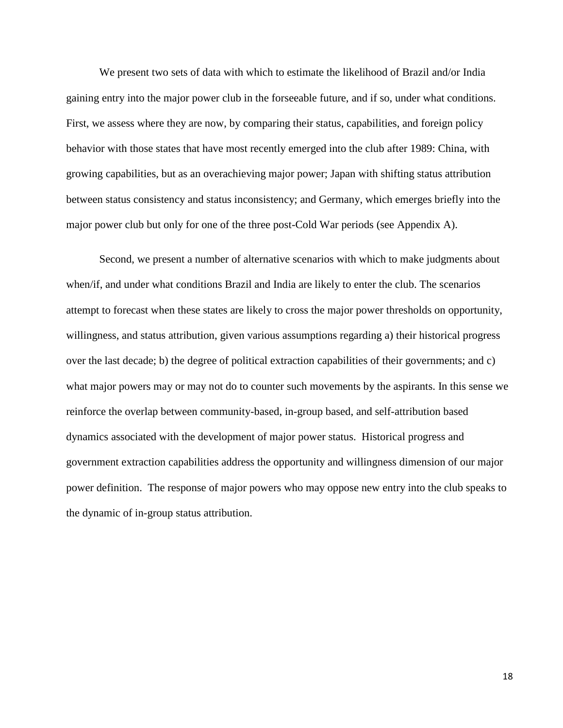We present two sets of data with which to estimate the likelihood of Brazil and/or India gaining entry into the major power club in the forseeable future, and if so, under what conditions. First, we assess where they are now, by comparing their status, capabilities, and foreign policy behavior with those states that have most recently emerged into the club after 1989: China, with growing capabilities, but as an overachieving major power; Japan with shifting status attribution between status consistency and status inconsistency; and Germany, which emerges briefly into the major power club but only for one of the three post-Cold War periods (see Appendix A).

Second, we present a number of alternative scenarios with which to make judgments about when/if, and under what conditions Brazil and India are likely to enter the club. The scenarios attempt to forecast when these states are likely to cross the major power thresholds on opportunity, willingness, and status attribution, given various assumptions regarding a) their historical progress over the last decade; b) the degree of political extraction capabilities of their governments; and c) what major powers may or may not do to counter such movements by the aspirants. In this sense we reinforce the overlap between community-based, in-group based, and self-attribution based dynamics associated with the development of major power status. Historical progress and government extraction capabilities address the opportunity and willingness dimension of our major power definition. The response of major powers who may oppose new entry into the club speaks to the dynamic of in-group status attribution.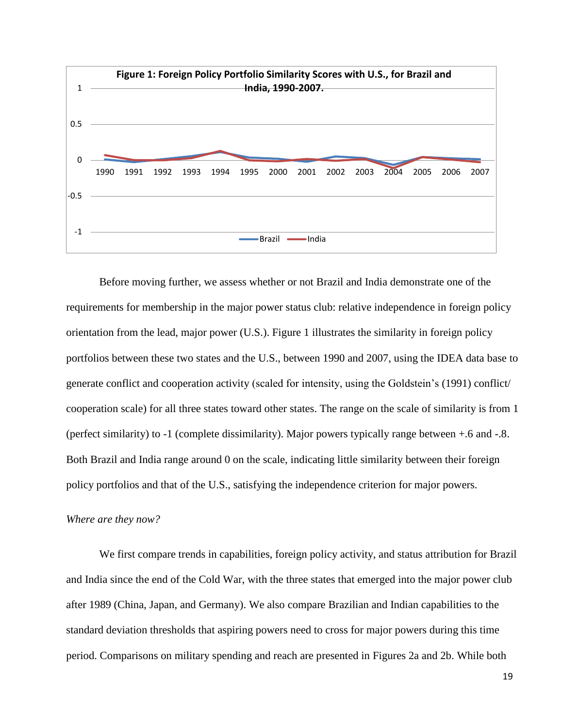

Before moving further, we assess whether or not Brazil and India demonstrate one of the requirements for membership in the major power status club: relative independence in foreign policy orientation from the lead, major power (U.S.). Figure 1 illustrates the similarity in foreign policy portfolios between these two states and the U.S., between 1990 and 2007, using the IDEA data base to generate conflict and cooperation activity (scaled for intensity, using the Goldstein's (1991) conflict/ cooperation scale) for all three states toward other states. The range on the scale of similarity is from 1 (perfect similarity) to -1 (complete dissimilarity). Major powers typically range between +.6 and -.8. Both Brazil and India range around 0 on the scale, indicating little similarity between their foreign policy portfolios and that of the U.S., satisfying the independence criterion for major powers.

## *Where are they now?*

We first compare trends in capabilities, foreign policy activity, and status attribution for Brazil and India since the end of the Cold War, with the three states that emerged into the major power club after 1989 (China, Japan, and Germany). We also compare Brazilian and Indian capabilities to the standard deviation thresholds that aspiring powers need to cross for major powers during this time period. Comparisons on military spending and reach are presented in Figures 2a and 2b. While both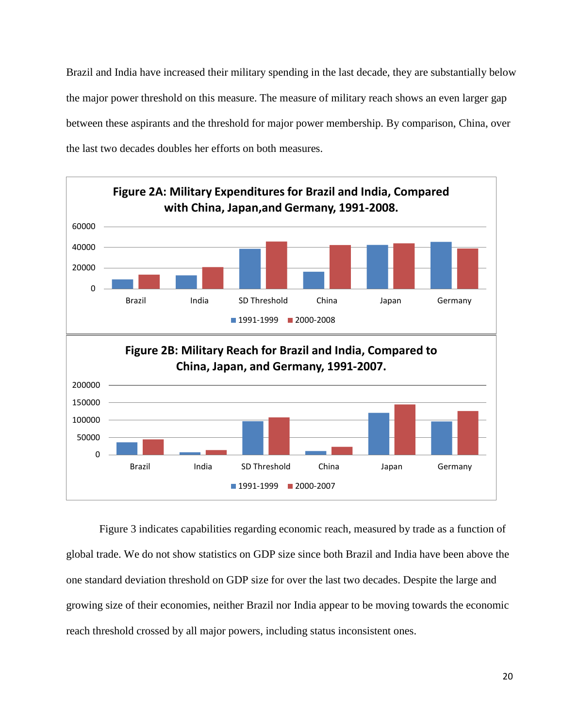Brazil and India have increased their military spending in the last decade, they are substantially below the major power threshold on this measure. The measure of military reach shows an even larger gap between these aspirants and the threshold for major power membership. By comparison, China, over the last two decades doubles her efforts on both measures.



Figure 3 indicates capabilities regarding economic reach, measured by trade as a function of global trade. We do not show statistics on GDP size since both Brazil and India have been above the one standard deviation threshold on GDP size for over the last two decades. Despite the large and growing size of their economies, neither Brazil nor India appear to be moving towards the economic reach threshold crossed by all major powers, including status inconsistent ones.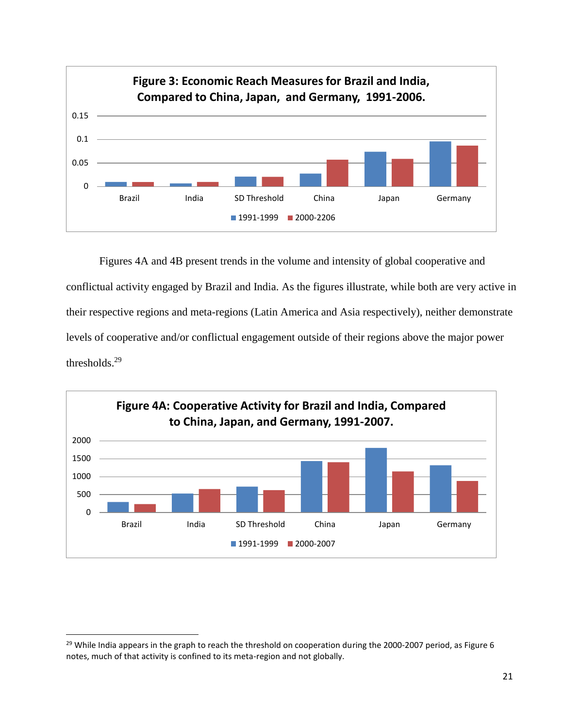

Figures 4A and 4B present trends in the volume and intensity of global cooperative and conflictual activity engaged by Brazil and India. As the figures illustrate, while both are very active in their respective regions and meta-regions (Latin America and Asia respectively), neither demonstrate levels of cooperative and/or conflictual engagement outside of their regions above the major power thresholds.<sup>29</sup>



l

 $^{29}$  While India appears in the graph to reach the threshold on cooperation during the 2000-2007 period, as Figure 6 notes, much of that activity is confined to its meta-region and not globally.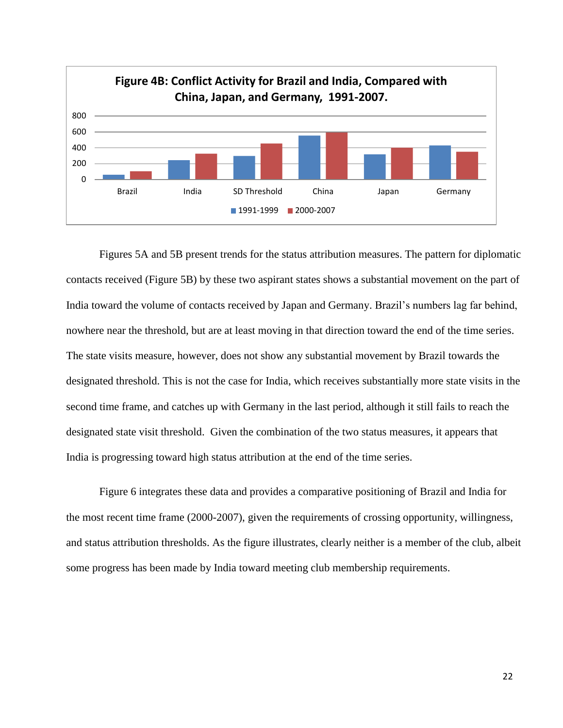

Figures 5A and 5B present trends for the status attribution measures. The pattern for diplomatic contacts received (Figure 5B) by these two aspirant states shows a substantial movement on the part of India toward the volume of contacts received by Japan and Germany. Brazil's numbers lag far behind, nowhere near the threshold, but are at least moving in that direction toward the end of the time series. The state visits measure, however, does not show any substantial movement by Brazil towards the designated threshold. This is not the case for India, which receives substantially more state visits in the second time frame, and catches up with Germany in the last period, although it still fails to reach the designated state visit threshold. Given the combination of the two status measures, it appears that India is progressing toward high status attribution at the end of the time series.

Figure 6 integrates these data and provides a comparative positioning of Brazil and India for the most recent time frame (2000-2007), given the requirements of crossing opportunity, willingness, and status attribution thresholds. As the figure illustrates, clearly neither is a member of the club, albeit some progress has been made by India toward meeting club membership requirements.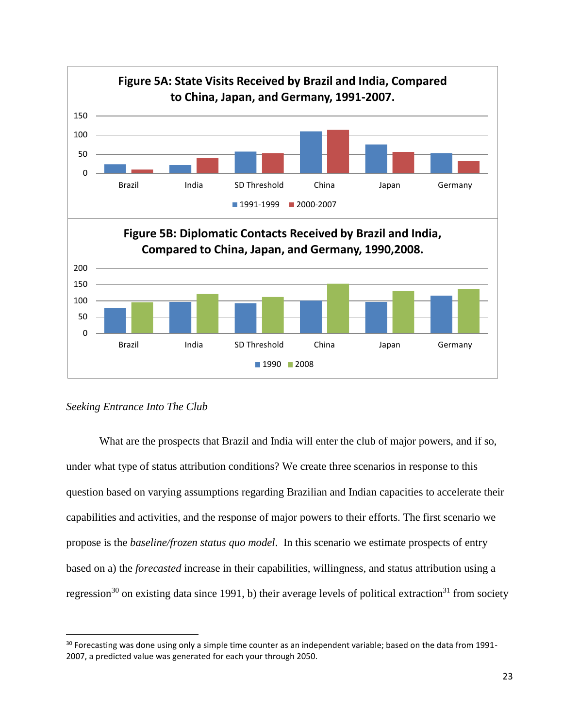

*Seeking Entrance Into The Club*

l

What are the prospects that Brazil and India will enter the club of major powers, and if so, under what type of status attribution conditions? We create three scenarios in response to this question based on varying assumptions regarding Brazilian and Indian capacities to accelerate their capabilities and activities, and the response of major powers to their efforts. The first scenario we propose is the *baseline/frozen status quo model*. In this scenario we estimate prospects of entry based on a) the *forecasted* increase in their capabilities, willingness, and status attribution using a regression<sup>30</sup> on existing data since 1991, b) their average levels of political extraction<sup>31</sup> from society

 $30$  Forecasting was done using only a simple time counter as an independent variable; based on the data from 1991-2007, a predicted value was generated for each your through 2050.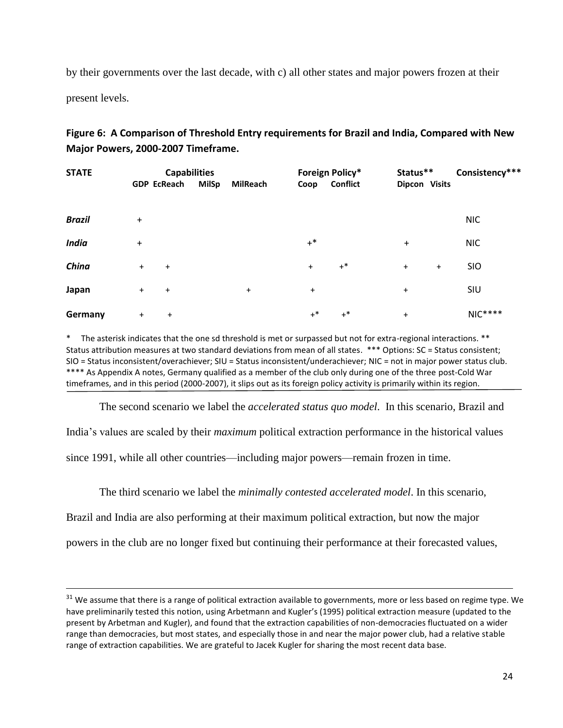by their governments over the last decade, with c) all other states and major powers frozen at their

present levels.

 $\overline{\phantom{a}}$ 

| Figure 6: A Comparison of Threshold Entry requirements for Brazil and India, Compared with New |
|------------------------------------------------------------------------------------------------|
| Major Powers, 2000-2007 Timeframe.                                                             |

| <b>STATE</b>  |                    | <b>Capabilities</b> |                 |           | Foreign Policy* | Status**      |           | Consistency*** |  |
|---------------|--------------------|---------------------|-----------------|-----------|-----------------|---------------|-----------|----------------|--|
|               | <b>GDP EcReach</b> | MilSp               | <b>MilReach</b> | Coop      | <b>Conflict</b> | Dipcon Visits |           |                |  |
|               |                    |                     |                 |           |                 |               |           |                |  |
| <b>Brazil</b> | $\ddot{}$          |                     |                 |           |                 |               |           | <b>NIC</b>     |  |
| <b>India</b>  | +                  |                     |                 | $+^*$     |                 | $\ddot{}$     |           | <b>NIC</b>     |  |
| China         | $+$<br>$\ddot{}$   |                     |                 | $\ddot{}$ | $+^*$           | $+$           | $\ddot{}$ | <b>SIO</b>     |  |
| Japan         | $+$<br>$\ddot{}$   |                     | $\ddot{}$       | $\ddot{}$ |                 | $\ddot{}$     |           | SIU            |  |
| Germany       | $\ddot{}$          | $\ddot{}$           |                 | $+^*$     | $+^*$           | $\ddot{}$     |           | $NIC***$       |  |

The asterisk indicates that the one sd threshold is met or surpassed but not for extra-regional interactions. \*\* Status attribution measures at two standard deviations from mean of all states. \*\*\* Options: SC = Status consistent; SIO = Status inconsistent/overachiever; SIU = Status inconsistent/underachiever; NIC = not in major power status club. \*\*\*\* As Appendix A notes, Germany qualified as a member of the club only during one of the three post-Cold War timeframes, and in this period (2000-2007), it slips out as its foreign policy activity is primarily within its region.

The second scenario we label the *accelerated status quo model*. In this scenario, Brazil and India's values are scaled by their *maximum* political extraction performance in the historical values since 1991, while all other countries—including major powers—remain frozen in time.

The third scenario we label the *minimally contested accelerated model*. In this scenario,

Brazil and India are also performing at their maximum political extraction, but now the major

powers in the club are no longer fixed but continuing their performance at their forecasted values,

<sup>&</sup>lt;sup>31</sup> We assume that there is a range of political extraction available to governments, more or less based on regime type. We have preliminarily tested this notion, using Arbetmann and Kugler's (1995) political extraction measure (updated to the present by Arbetman and Kugler), and found that the extraction capabilities of non-democracies fluctuated on a wider range than democracies, but most states, and especially those in and near the major power club, had a relative stable range of extraction capabilities. We are grateful to Jacek Kugler for sharing the most recent data base.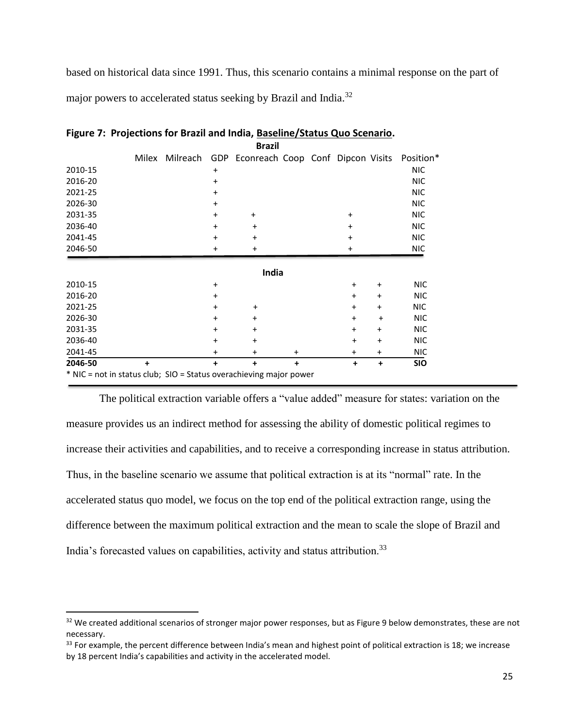based on historical data since 1991. Thus, this scenario contains a minimal response on the part of major powers to accelerated status seeking by Brazil and India.<sup>32</sup>

|                                                                    |           |          |           | <b>Brazil</b>                                   |           |           |           |            |
|--------------------------------------------------------------------|-----------|----------|-----------|-------------------------------------------------|-----------|-----------|-----------|------------|
|                                                                    | Milex     | Milreach |           | GDP Econreach Coop Conf Dipcon Visits Position* |           |           |           |            |
| 2010-15                                                            |           |          | $\ddot{}$ |                                                 |           |           |           | <b>NIC</b> |
| 2016-20                                                            |           |          | $\ddot{}$ |                                                 |           |           |           | <b>NIC</b> |
| 2021-25                                                            |           |          | $\ddot{}$ |                                                 |           |           |           | <b>NIC</b> |
| 2026-30                                                            |           |          | $\ddot{}$ |                                                 |           |           |           | <b>NIC</b> |
| 2031-35                                                            |           |          | $\ddot{}$ | $\ddot{}$                                       |           | $+$       |           | <b>NIC</b> |
| 2036-40                                                            |           |          | $\pmb{+}$ | +                                               |           | $\ddot{}$ |           | <b>NIC</b> |
| 2041-45                                                            |           |          | $\ddot{}$ | $\pmb{+}$                                       |           | $\ddot{}$ |           | <b>NIC</b> |
| 2046-50                                                            |           |          | $\ddot{}$ | +                                               |           | +         |           | <b>NIC</b> |
|                                                                    |           |          |           |                                                 |           |           |           |            |
|                                                                    |           |          |           | India                                           |           |           |           |            |
| 2010-15                                                            |           |          | $\ddot{}$ |                                                 |           | $\ddot{}$ | $\ddot{}$ | <b>NIC</b> |
| 2016-20                                                            |           |          | $\ddot{}$ |                                                 |           | $\ddot{}$ | $\ddot{}$ | <b>NIC</b> |
| 2021-25                                                            |           |          | $\ddot{}$ | +                                               |           | $\ddot{}$ | $\ddot{}$ | <b>NIC</b> |
| 2026-30                                                            |           |          | $\ddot{}$ | $\ddot{}$                                       |           | $\ddot{}$ | $\ddot{}$ | <b>NIC</b> |
| 2031-35                                                            |           |          | $\ddot{}$ | $\ddot{}$                                       |           | $\ddot{}$ | $\ddot{}$ | <b>NIC</b> |
| 2036-40                                                            |           |          | $\ddot{}$ | $\pmb{+}$                                       |           | $\ddot{}$ | $+$       | <b>NIC</b> |
| 2041-45                                                            |           |          | +         | +                                               | $\ddot{}$ | $\ddot{}$ | $\ddot{}$ | <b>NIC</b> |
| 2046-50                                                            | $\ddot{}$ |          | $\ddot{}$ | $\ddot{}$                                       | $\ddot{}$ | +         | ÷         | <b>SIO</b> |
| * NIC = not in status club; SIO = Status overachieving major power |           |          |           |                                                 |           |           |           |            |

**Figure 7: Projections for Brazil and India, Baseline/Status Quo Scenario.**

The political extraction variable offers a "value added" measure for states: variation on the measure provides us an indirect method for assessing the ability of domestic political regimes to increase their activities and capabilities, and to receive a corresponding increase in status attribution. Thus, in the baseline scenario we assume that political extraction is at its "normal" rate. In the accelerated status quo model, we focus on the top end of the political extraction range, using the difference between the maximum political extraction and the mean to scale the slope of Brazil and India's forecasted values on capabilities, activity and status attribution.<sup>33</sup>

 $\overline{a}$ 

<sup>&</sup>lt;sup>32</sup> We created additional scenarios of stronger major power responses, but as Figure 9 below demonstrates, these are not necessary.

 $33$  For example, the percent difference between India's mean and highest point of political extraction is 18; we increase by 18 percent India's capabilities and activity in the accelerated model.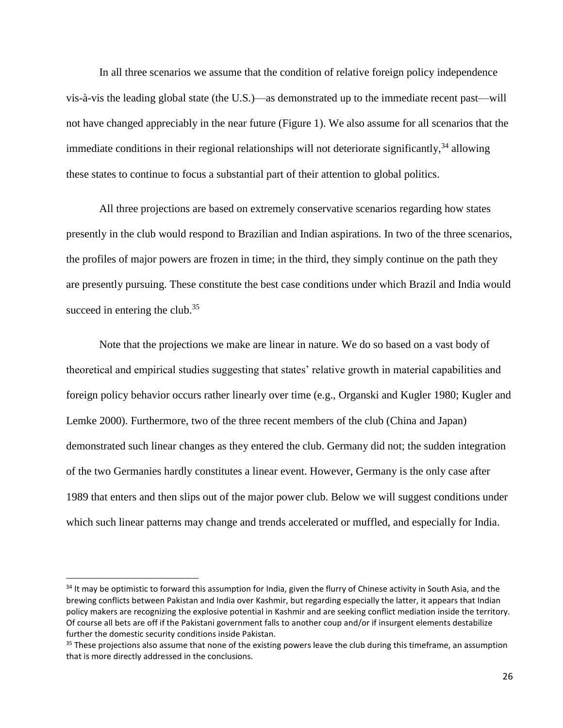In all three scenarios we assume that the condition of relative foreign policy independence vis-à-vis the leading global state (the U.S.)—as demonstrated up to the immediate recent past—will not have changed appreciably in the near future (Figure 1). We also assume for all scenarios that the immediate conditions in their regional relationships will not deteriorate significantly,  $34$  allowing these states to continue to focus a substantial part of their attention to global politics.

All three projections are based on extremely conservative scenarios regarding how states presently in the club would respond to Brazilian and Indian aspirations. In two of the three scenarios, the profiles of major powers are frozen in time; in the third, they simply continue on the path they are presently pursuing. These constitute the best case conditions under which Brazil and India would succeed in entering the club. $35$ 

Note that the projections we make are linear in nature. We do so based on a vast body of theoretical and empirical studies suggesting that states' relative growth in material capabilities and foreign policy behavior occurs rather linearly over time (e.g., Organski and Kugler 1980; Kugler and Lemke 2000). Furthermore, two of the three recent members of the club (China and Japan) demonstrated such linear changes as they entered the club. Germany did not; the sudden integration of the two Germanies hardly constitutes a linear event. However, Germany is the only case after 1989 that enters and then slips out of the major power club. Below we will suggest conditions under which such linear patterns may change and trends accelerated or muffled, and especially for India.

 $34$  It may be optimistic to forward this assumption for India, given the flurry of Chinese activity in South Asia, and the brewing conflicts between Pakistan and India over Kashmir, but regarding especially the latter, it appears that Indian policy makers are recognizing the explosive potential in Kashmir and are seeking conflict mediation inside the territory. Of course all bets are off if the Pakistani government falls to another coup and/or if insurgent elements destabilize further the domestic security conditions inside Pakistan.

 $35$  These projections also assume that none of the existing powers leave the club during this timeframe, an assumption that is more directly addressed in the conclusions.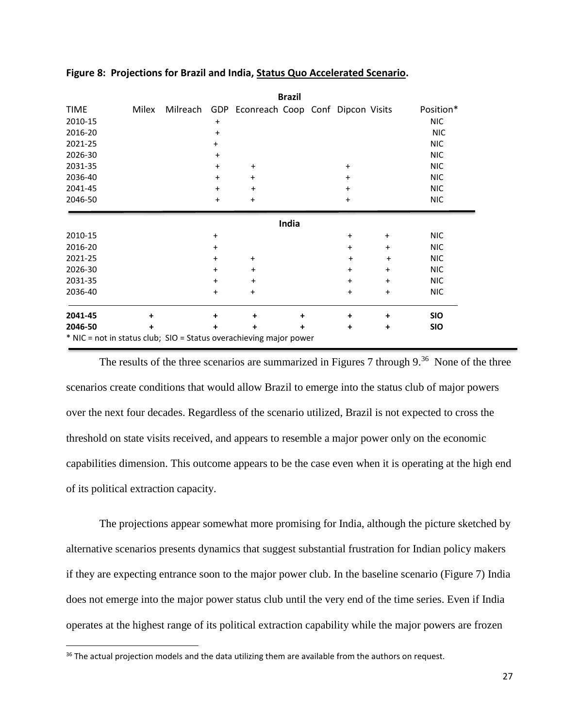|                                                                    |       |                        |                                                | <b>Brazil</b> |                        |                        |                          |
|--------------------------------------------------------------------|-------|------------------------|------------------------------------------------|---------------|------------------------|------------------------|--------------------------|
| <b>TIME</b>                                                        | Milex |                        | Milreach GDP Econreach Coop Conf Dipcon Visits |               |                        |                        | Position*                |
| 2010-15                                                            |       | $\ddot{}$              |                                                |               |                        |                        | NIC.                     |
| 2016-20                                                            |       | $\ddot{}$              |                                                |               |                        |                        | <b>NIC</b>               |
| 2021-25                                                            |       | $\ddot{}$              |                                                |               |                        |                        | <b>NIC</b>               |
| 2026-30                                                            |       | $\ddot{}$              |                                                |               |                        |                        | <b>NIC</b>               |
| 2031-35                                                            |       | $\ddot{}$              | $\ddot{}$                                      |               | $\ddot{}$              |                        | <b>NIC</b>               |
| 2036-40                                                            |       | $\ddot{}$              | $\pmb{+}$                                      |               | $\ddot{}$              |                        | <b>NIC</b>               |
| 2041-45                                                            |       | $\ddot{}$              | $\ddot{}$                                      |               | $\ddot{}$              |                        | <b>NIC</b>               |
| 2046-50                                                            |       | $\ddot{}$              | $\pmb{+}$                                      |               | $\ddot{}$              |                        | <b>NIC</b>               |
| 2010-15                                                            |       | +                      |                                                | India         | $\ddot{}$              | $\ddot{}$              | <b>NIC</b>               |
| 2016-20                                                            |       | $\pmb{+}$              |                                                |               | $\ddot{}$              | $\ddot{}$              | <b>NIC</b>               |
| 2021-25<br>2026-30                                                 |       | $\pmb{+}$<br>$\ddot{}$ | $\pmb{+}$<br>$\pmb{+}$                         |               | $\ddot{}$<br>$\ddot{}$ | $\pmb{+}$<br>$\ddot{}$ | <b>NIC</b><br><b>NIC</b> |
| 2031-35                                                            |       | $\ddot{}$              | $\ddot{}$                                      |               | $\ddot{}$              | $\ddot{}$              | <b>NIC</b>               |
| 2036-40                                                            |       | $\ddot{}$              | $\ddot{}$                                      |               | $\ddot{}$              | $\ddot{}$              | <b>NIC</b>               |
| 2041-45                                                            | ÷     | +                      | +                                              | +             | +                      | ٠                      | <b>SIO</b>               |
| 2046-50                                                            | +     | +                      | +                                              | +             | $\ddot{}$              | ٠                      | <b>SIO</b>               |
| * NIC = not in status club; SIO = Status overachieving major power |       |                        |                                                |               |                        |                        |                          |

## **Figure 8: Projections for Brazil and India, Status Quo Accelerated Scenario.**

The results of the three scenarios are summarized in Figures 7 through  $9^{36}$  None of the three scenarios create conditions that would allow Brazil to emerge into the status club of major powers over the next four decades. Regardless of the scenario utilized, Brazil is not expected to cross the threshold on state visits received, and appears to resemble a major power only on the economic capabilities dimension. This outcome appears to be the case even when it is operating at the high end of its political extraction capacity.

The projections appear somewhat more promising for India, although the picture sketched by alternative scenarios presents dynamics that suggest substantial frustration for Indian policy makers if they are expecting entrance soon to the major power club. In the baseline scenario (Figure 7) India does not emerge into the major power status club until the very end of the time series. Even if India operates at the highest range of its political extraction capability while the major powers are frozen

<sup>&</sup>lt;sup>36</sup> The actual projection models and the data utilizing them are available from the authors on request.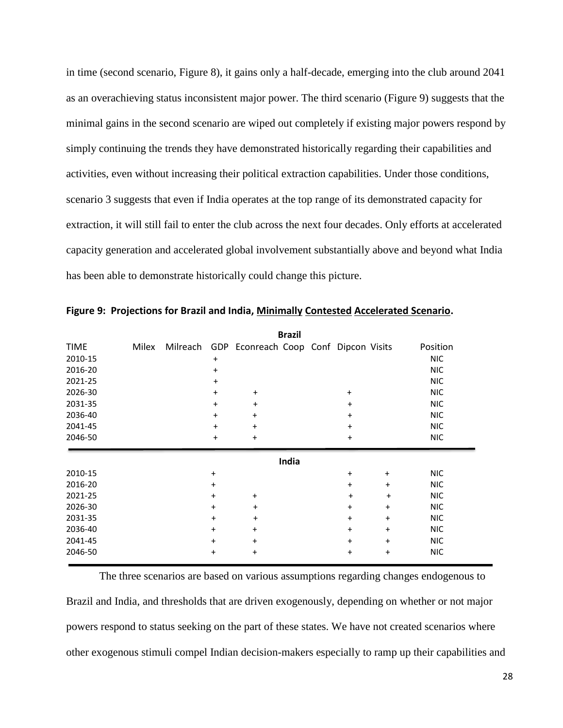in time (second scenario, Figure 8), it gains only a half-decade, emerging into the club around 2041 as an overachieving status inconsistent major power. The third scenario (Figure 9) suggests that the minimal gains in the second scenario are wiped out completely if existing major powers respond by simply continuing the trends they have demonstrated historically regarding their capabilities and activities, even without increasing their political extraction capabilities. Under those conditions, scenario 3 suggests that even if India operates at the top range of its demonstrated capacity for extraction, it will still fail to enter the club across the next four decades. Only efforts at accelerated capacity generation and accelerated global involvement substantially above and beyond what India has been able to demonstrate historically could change this picture.

|             |       |           |                                                | <b>Brazil</b> |           |           |            |
|-------------|-------|-----------|------------------------------------------------|---------------|-----------|-----------|------------|
| <b>TIME</b> | Milex |           | Milreach GDP Econreach Coop Conf Dipcon Visits |               |           |           | Position   |
| 2010-15     |       | $\ddot{}$ |                                                |               |           |           | <b>NIC</b> |
| 2016-20     |       | $\ddot{}$ |                                                |               |           |           | <b>NIC</b> |
| 2021-25     |       | $\ddot{}$ |                                                |               |           |           | <b>NIC</b> |
| 2026-30     |       | $\ddot{}$ | $\ddot{}$                                      |               | $\ddot{}$ |           | <b>NIC</b> |
| 2031-35     |       | $\ddot{}$ | $\ddot{}$                                      |               | $\ddot{}$ |           | <b>NIC</b> |
| 2036-40     |       | $\ddot{}$ | $\ddot{}$                                      |               | $\ddot{}$ |           | <b>NIC</b> |
| 2041-45     |       | $\ddot{}$ | $\ddot{}$                                      |               | $\ddot{}$ |           | <b>NIC</b> |
| 2046-50     |       | $\ddot{}$ | $\ddot{}$                                      |               | $\ddot{}$ |           | <b>NIC</b> |
|             |       |           |                                                | India         |           |           |            |
| 2010-15     |       | $\ddot{}$ |                                                |               | $\ddot{}$ | $\ddot{}$ | <b>NIC</b> |
| 2016-20     |       | $\ddot{}$ |                                                |               | $\ddot{}$ | $\ddot{}$ | <b>NIC</b> |
| 2021-25     |       | $\ddot{}$ | $\ddot{}$                                      |               | $\ddot{}$ | $\ddot{}$ | <b>NIC</b> |
| 2026-30     |       | $\ddot{}$ | $\ddot{}$                                      |               | $\ddot{}$ | $\ddot{}$ | <b>NIC</b> |
| 2031-35     |       | $\ddot{}$ | $\ddot{}$                                      |               | $\ddot{}$ | $\ddot{}$ | <b>NIC</b> |
| 2036-40     |       | $\ddot{}$ | $\ddot{}$                                      |               | $\ddot{}$ | $\ddot{}$ | <b>NIC</b> |
| 2041-45     |       | $\ddot{}$ | $\ddot{}$                                      |               | $\ddot{}$ | $\ddot{}$ | <b>NIC</b> |
| 2046-50     |       | $\ddot{}$ | $\ddot{}$                                      |               | $\ddot{}$ | $\ddot{}$ | <b>NIC</b> |

**Figure 9: Projections for Brazil and India, Minimally Contested Accelerated Scenario.**

The three scenarios are based on various assumptions regarding changes endogenous to Brazil and India, and thresholds that are driven exogenously, depending on whether or not major powers respond to status seeking on the part of these states. We have not created scenarios where other exogenous stimuli compel Indian decision-makers especially to ramp up their capabilities and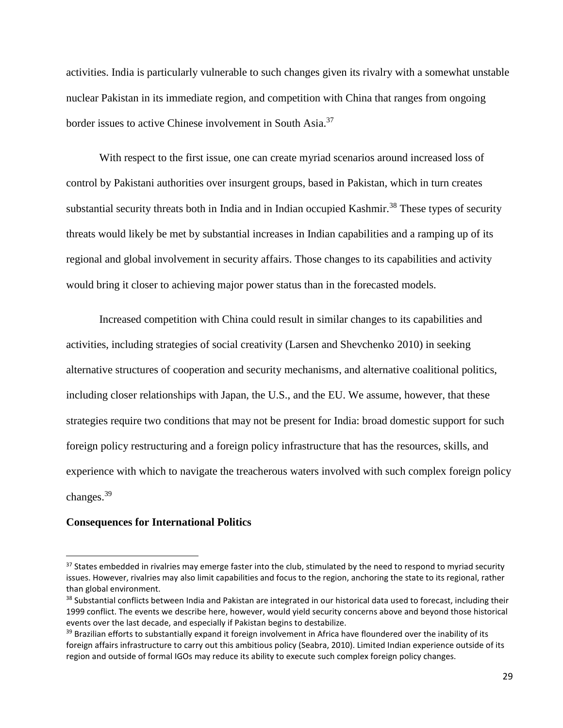activities. India is particularly vulnerable to such changes given its rivalry with a somewhat unstable nuclear Pakistan in its immediate region, and competition with China that ranges from ongoing border issues to active Chinese involvement in South Asia.<sup>37</sup>

With respect to the first issue, one can create myriad scenarios around increased loss of control by Pakistani authorities over insurgent groups, based in Pakistan, which in turn creates substantial security threats both in India and in Indian occupied Kashmir.<sup>38</sup> These types of security threats would likely be met by substantial increases in Indian capabilities and a ramping up of its regional and global involvement in security affairs. Those changes to its capabilities and activity would bring it closer to achieving major power status than in the forecasted models.

Increased competition with China could result in similar changes to its capabilities and activities, including strategies of social creativity (Larsen and Shevchenko 2010) in seeking alternative structures of cooperation and security mechanisms, and alternative coalitional politics, including closer relationships with Japan, the U.S., and the EU. We assume, however, that these strategies require two conditions that may not be present for India: broad domestic support for such foreign policy restructuring and a foreign policy infrastructure that has the resources, skills, and experience with which to navigate the treacherous waters involved with such complex foreign policy changes.<sup>39</sup>

## **Consequences for International Politics**

<sup>&</sup>lt;sup>37</sup> States embedded in rivalries may emerge faster into the club, stimulated by the need to respond to myriad security issues. However, rivalries may also limit capabilities and focus to the region, anchoring the state to its regional, rather than global environment.

<sup>&</sup>lt;sup>38</sup> Substantial conflicts between India and Pakistan are integrated in our historical data used to forecast, including their 1999 conflict. The events we describe here, however, would yield security concerns above and beyond those historical events over the last decade, and especially if Pakistan begins to destabilize.

<sup>&</sup>lt;sup>39</sup> Brazilian efforts to substantially expand it foreign involvement in Africa have floundered over the inability of its foreign affairs infrastructure to carry out this ambitious policy (Seabra, 2010). Limited Indian experience outside of its region and outside of formal IGOs may reduce its ability to execute such complex foreign policy changes.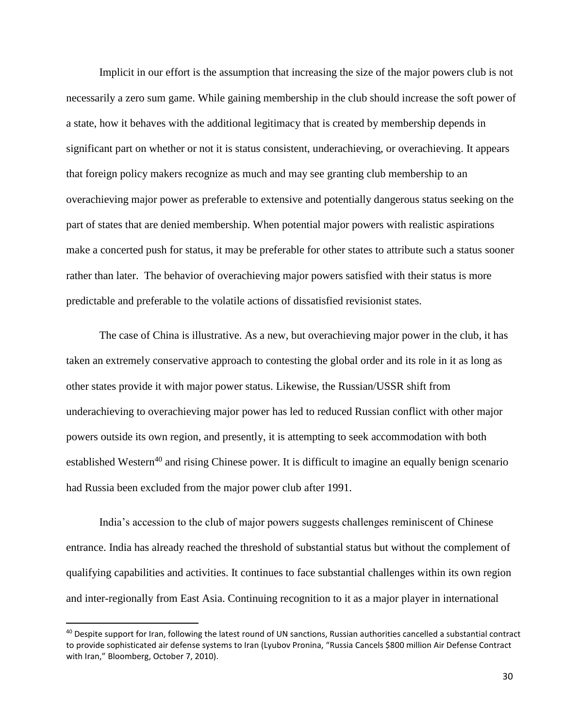Implicit in our effort is the assumption that increasing the size of the major powers club is not necessarily a zero sum game. While gaining membership in the club should increase the soft power of a state, how it behaves with the additional legitimacy that is created by membership depends in significant part on whether or not it is status consistent, underachieving, or overachieving. It appears that foreign policy makers recognize as much and may see granting club membership to an overachieving major power as preferable to extensive and potentially dangerous status seeking on the part of states that are denied membership. When potential major powers with realistic aspirations make a concerted push for status, it may be preferable for other states to attribute such a status sooner rather than later. The behavior of overachieving major powers satisfied with their status is more predictable and preferable to the volatile actions of dissatisfied revisionist states.

The case of China is illustrative. As a new, but overachieving major power in the club, it has taken an extremely conservative approach to contesting the global order and its role in it as long as other states provide it with major power status. Likewise, the Russian/USSR shift from underachieving to overachieving major power has led to reduced Russian conflict with other major powers outside its own region, and presently, it is attempting to seek accommodation with both established Western<sup>40</sup> and rising Chinese power. It is difficult to imagine an equally benign scenario had Russia been excluded from the major power club after 1991.

India's accession to the club of major powers suggests challenges reminiscent of Chinese entrance. India has already reached the threshold of substantial status but without the complement of qualifying capabilities and activities. It continues to face substantial challenges within its own region and inter-regionally from East Asia. Continuing recognition to it as a major player in international

<sup>&</sup>lt;sup>40</sup> Despite support for Iran, following the latest round of UN sanctions, Russian authorities cancelled a substantial contract to provide sophisticated air defense systems to Iran (Lyubov Pronina, "Russia Cancels \$800 million Air Defense Contract with Iran," Bloomberg, October 7, 2010).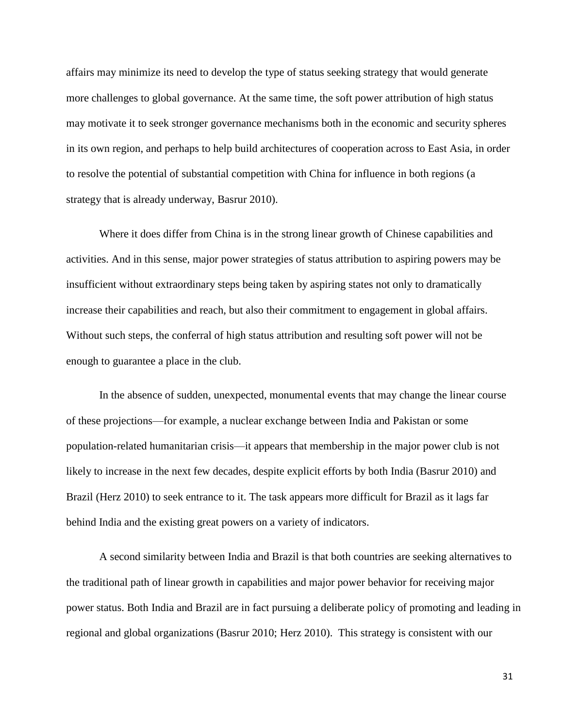affairs may minimize its need to develop the type of status seeking strategy that would generate more challenges to global governance. At the same time, the soft power attribution of high status may motivate it to seek stronger governance mechanisms both in the economic and security spheres in its own region, and perhaps to help build architectures of cooperation across to East Asia, in order to resolve the potential of substantial competition with China for influence in both regions (a strategy that is already underway, Basrur 2010).

Where it does differ from China is in the strong linear growth of Chinese capabilities and activities. And in this sense, major power strategies of status attribution to aspiring powers may be insufficient without extraordinary steps being taken by aspiring states not only to dramatically increase their capabilities and reach, but also their commitment to engagement in global affairs. Without such steps, the conferral of high status attribution and resulting soft power will not be enough to guarantee a place in the club.

In the absence of sudden, unexpected, monumental events that may change the linear course of these projections—for example, a nuclear exchange between India and Pakistan or some population-related humanitarian crisis—it appears that membership in the major power club is not likely to increase in the next few decades, despite explicit efforts by both India (Basrur 2010) and Brazil (Herz 2010) to seek entrance to it. The task appears more difficult for Brazil as it lags far behind India and the existing great powers on a variety of indicators.

A second similarity between India and Brazil is that both countries are seeking alternatives to the traditional path of linear growth in capabilities and major power behavior for receiving major power status. Both India and Brazil are in fact pursuing a deliberate policy of promoting and leading in regional and global organizations (Basrur 2010; Herz 2010). This strategy is consistent with our

31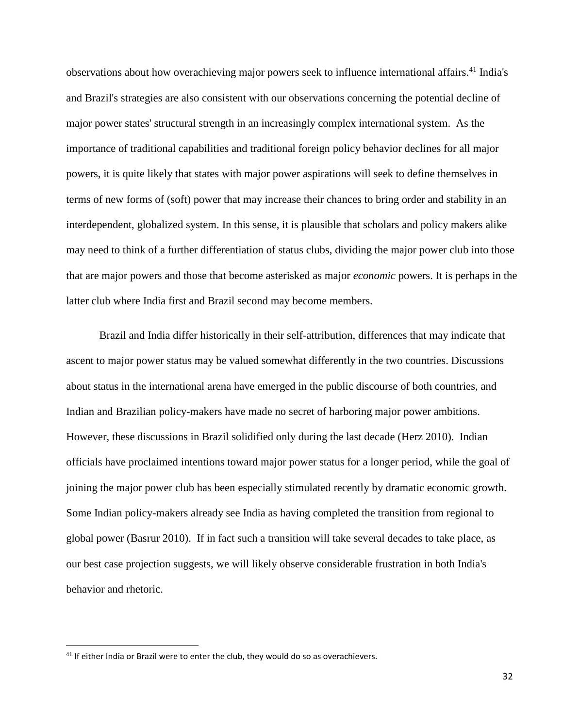observations about how overachieving major powers seek to influence international affairs. <sup>41</sup> India's and Brazil's strategies are also consistent with our observations concerning the potential decline of major power states' structural strength in an increasingly complex international system. As the importance of traditional capabilities and traditional foreign policy behavior declines for all major powers, it is quite likely that states with major power aspirations will seek to define themselves in terms of new forms of (soft) power that may increase their chances to bring order and stability in an interdependent, globalized system. In this sense, it is plausible that scholars and policy makers alike may need to think of a further differentiation of status clubs, dividing the major power club into those that are major powers and those that become asterisked as major *economic* powers. It is perhaps in the latter club where India first and Brazil second may become members.

Brazil and India differ historically in their self-attribution, differences that may indicate that ascent to major power status may be valued somewhat differently in the two countries. Discussions about status in the international arena have emerged in the public discourse of both countries, and Indian and Brazilian policy-makers have made no secret of harboring major power ambitions. However, these discussions in Brazil solidified only during the last decade (Herz 2010). Indian officials have proclaimed intentions toward major power status for a longer period, while the goal of joining the major power club has been especially stimulated recently by dramatic economic growth. Some Indian policy-makers already see India as having completed the transition from regional to global power (Basrur 2010). If in fact such a transition will take several decades to take place, as our best case projection suggests, we will likely observe considerable frustration in both India's behavior and rhetoric.

 $41$  If either India or Brazil were to enter the club, they would do so as overachievers.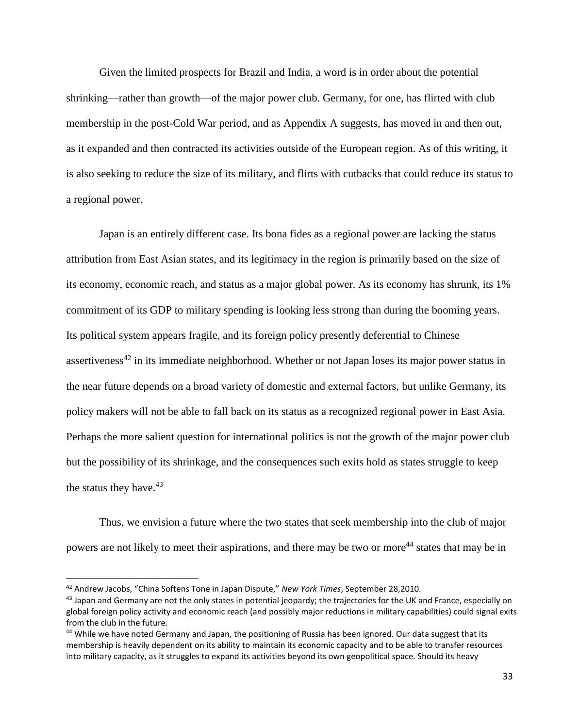Given the limited prospects for Brazil and India, a word is in order about the potential shrinking—rather than growth—of the major power club. Germany, for one, has flirted with club membership in the post-Cold War period, and as Appendix A suggests, has moved in and then out, as it expanded and then contracted its activities outside of the European region. As of this writing, it is also seeking to reduce the size of its military, and flirts with cutbacks that could reduce its status to a regional power.

Japan is an entirely different case. Its bona fides as a regional power are lacking the status attribution from East Asian states, and its legitimacy in the region is primarily based on the size of its economy, economic reach, and status as a major global power. As its economy has shrunk, its 1% commitment of its GDP to military spending is looking less strong than during the booming years. Its political system appears fragile, and its foreign policy presently deferential to Chinese assertiveness<sup>42</sup> in its immediate neighborhood. Whether or not Japan loses its major power status in the near future depends on a broad variety of domestic and external factors, but unlike Germany, its policy makers will not be able to fall back on its status as a recognized regional power in East Asia. Perhaps the more salient question for international politics is not the growth of the major power club but the possibility of its shrinkage, and the consequences such exits hold as states struggle to keep the status they have. $43$ 

Thus, we envision a future where the two states that seek membership into the club of major powers are not likely to meet their aspirations, and there may be two or more<sup>44</sup> states that may be in

<sup>42</sup> Andrew Jacobs, "China Softens Tone in Japan Dispute," *New York Times*, September 28,2010.

 $43$  Japan and Germany are not the only states in potential jeopardy; the trajectories for the UK and France, especially on global foreign policy activity and economic reach (and possibly major reductions in military capabilities) could signal exits from the club in the future.

<sup>44</sup> While we have noted Germany and Japan, the positioning of Russia has been ignored. Our data suggest that its membership is heavily dependent on its ability to maintain its economic capacity and to be able to transfer resources into military capacity, as it struggles to expand its activities beyond its own geopolitical space. Should its heavy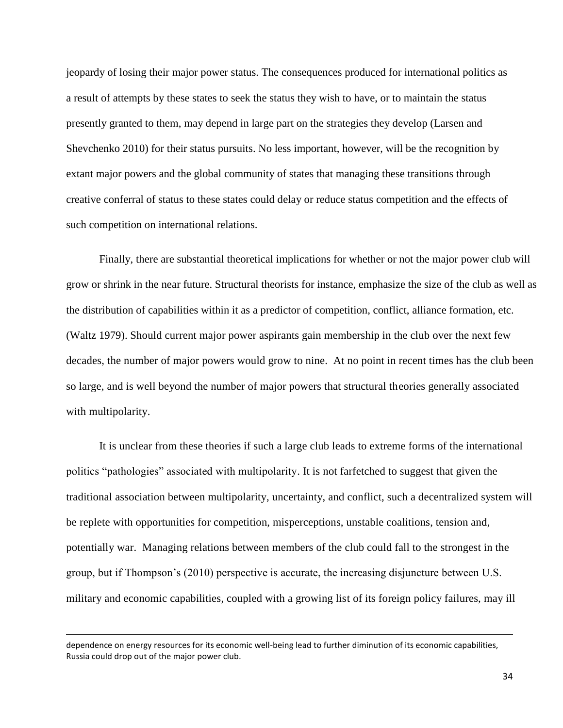jeopardy of losing their major power status. The consequences produced for international politics as a result of attempts by these states to seek the status they wish to have, or to maintain the status presently granted to them, may depend in large part on the strategies they develop (Larsen and Shevchenko 2010) for their status pursuits. No less important, however, will be the recognition by extant major powers and the global community of states that managing these transitions through creative conferral of status to these states could delay or reduce status competition and the effects of such competition on international relations.

Finally, there are substantial theoretical implications for whether or not the major power club will grow or shrink in the near future. Structural theorists for instance, emphasize the size of the club as well as the distribution of capabilities within it as a predictor of competition, conflict, alliance formation, etc. (Waltz 1979). Should current major power aspirants gain membership in the club over the next few decades, the number of major powers would grow to nine. At no point in recent times has the club been so large, and is well beyond the number of major powers that structural theories generally associated with multipolarity.

It is unclear from these theories if such a large club leads to extreme forms of the international politics "pathologies" associated with multipolarity. It is not farfetched to suggest that given the traditional association between multipolarity, uncertainty, and conflict, such a decentralized system will be replete with opportunities for competition, misperceptions, unstable coalitions, tension and, potentially war. Managing relations between members of the club could fall to the strongest in the group, but if Thompson's (2010) perspective is accurate, the increasing disjuncture between U.S. military and economic capabilities, coupled with a growing list of its foreign policy failures, may ill

l

dependence on energy resources for its economic well-being lead to further diminution of its economic capabilities, Russia could drop out of the major power club.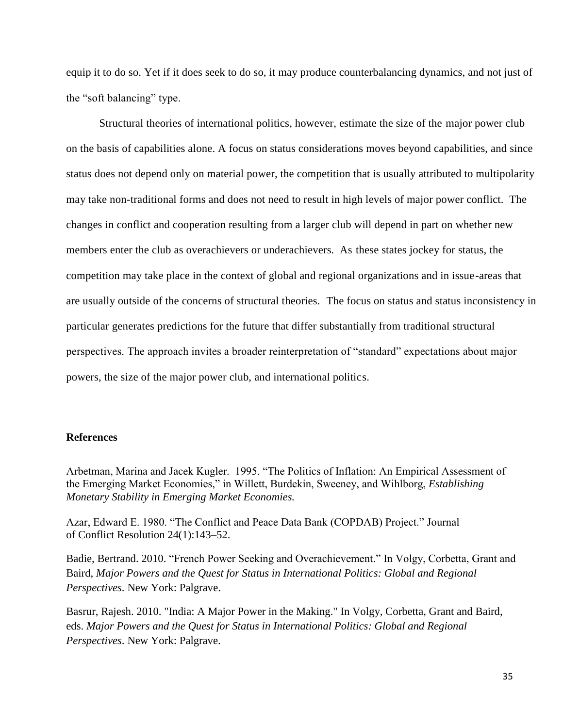equip it to do so. Yet if it does seek to do so, it may produce counterbalancing dynamics, and not just of the "soft balancing" type.

Structural theories of international politics, however, estimate the size of the major power club on the basis of capabilities alone. A focus on status considerations moves beyond capabilities, and since status does not depend only on material power, the competition that is usually attributed to multipolarity may take non-traditional forms and does not need to result in high levels of major power conflict. The changes in conflict and cooperation resulting from a larger club will depend in part on whether new members enter the club as overachievers or underachievers. As these states jockey for status, the competition may take place in the context of global and regional organizations and in issue-areas that are usually outside of the concerns of structural theories. The focus on status and status inconsistency in particular generates predictions for the future that differ substantially from traditional structural perspectives. The approach invites a broader reinterpretation of "standard" expectations about major powers, the size of the major power club, and international politics.

## **References**

Arbetman, Marina and Jacek Kugler. 1995. "The Politics of Inflation: An Empirical Assessment of the Emerging Market Economies," in Willett, Burdekin, Sweeney, and Wihlborg, *Establishing Monetary Stability in Emerging Market Economies.*

Azar, Edward E. 1980. "The Conflict and Peace Data Bank (COPDAB) Project." Journal of Conflict Resolution 24(1):143–52.

Badie, Bertrand. 2010. "French Power Seeking and Overachievement." In Volgy, Corbetta, Grant and Baird, *Major Powers and the Quest for Status in International Politics: Global and Regional Perspectives*. New York: Palgrave.

Basrur, Rajesh. 2010. "India: A Major Power in the Making." In Volgy, Corbetta, Grant and Baird, eds. *Major Powers and the Quest for Status in International Politics: Global and Regional Perspectives*. New York: Palgrave.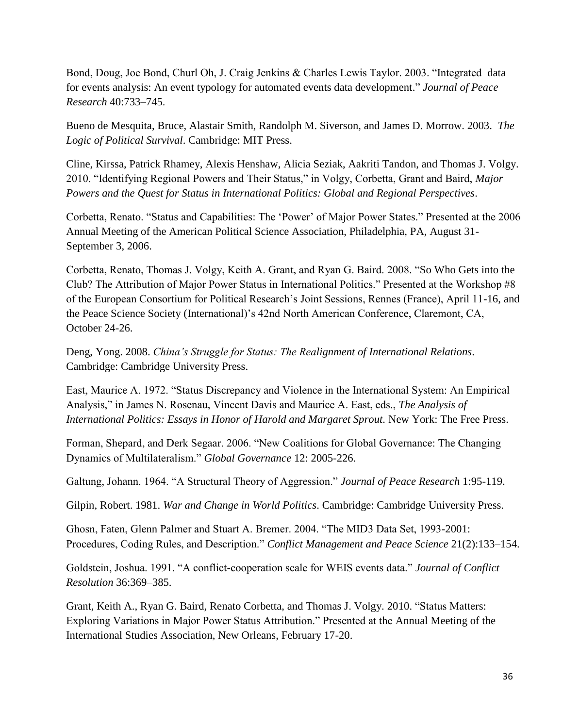Bond, Doug, Joe Bond, Churl Oh, J. Craig Jenkins & Charles Lewis Taylor. 2003. "Integrated data for events analysis: An event typology for automated events data development." *Journal of Peace Research* 40:733–745.

Bueno de Mesquita, Bruce, Alastair Smith, Randolph M. Siverson, and James D. Morrow. 2003. *The Logic of Political Survival*. Cambridge: MIT Press.

Cline, Kirssa, Patrick Rhamey, Alexis Henshaw, Alicia Seziak, Aakriti Tandon, and Thomas J. Volgy. 2010. "Identifying Regional Powers and Their Status," in Volgy, Corbetta, Grant and Baird, *Major Powers and the Quest for Status in International Politics: Global and Regional Perspectives*.

Corbetta, Renato. "Status and Capabilities: The 'Power' of Major Power States." Presented at the 2006 Annual Meeting of the American Political Science Association, Philadelphia, PA, August 31- September 3, 2006.

Corbetta, Renato, Thomas J. Volgy, Keith A. Grant, and Ryan G. Baird. 2008. "So Who Gets into the Club? The Attribution of Major Power Status in International Politics." Presented at the Workshop #8 of the European Consortium for Political Research's Joint Sessions, Rennes (France), April 11-16, and the Peace Science Society (International)'s 42nd North American Conference, Claremont, CA, October 24-26.

Deng, Yong. 2008. *China's Struggle for Status: The Realignment of International Relations*. Cambridge: Cambridge University Press.

East, Maurice A. 1972. "Status Discrepancy and Violence in the International System: An Empirical Analysis," in James N. Rosenau, Vincent Davis and Maurice A. East, eds., *The Analysis of International Politics: Essays in Honor of Harold and Margaret Sprout.* New York: The Free Press.

Forman, Shepard, and Derk Segaar. 2006. "New Coalitions for Global Governance: The Changing Dynamics of Multilateralism." *Global Governance* 12: 2005-226.

Galtung, Johann. 1964. "A Structural Theory of Aggression." *Journal of Peace Research* 1:95-119.

Gilpin, Robert. 1981. *War and Change in World Politics*. Cambridge: Cambridge University Press.

Ghosn, Faten, Glenn Palmer and Stuart A. Bremer. 2004. "The MID3 Data Set, 1993-2001: Procedures, Coding Rules, and Description." *Conflict Management and Peace Science* 21(2):133–154.

Goldstein, Joshua. 1991. "A conflict-cooperation scale for WEIS events data." *Journal of Conflict Resolution* 36:369–385.

Grant, Keith A., Ryan G. Baird, Renato Corbetta, and Thomas J. Volgy. 2010. "Status Matters: Exploring Variations in Major Power Status Attribution." Presented at the Annual Meeting of the International Studies Association, New Orleans, February 17-20.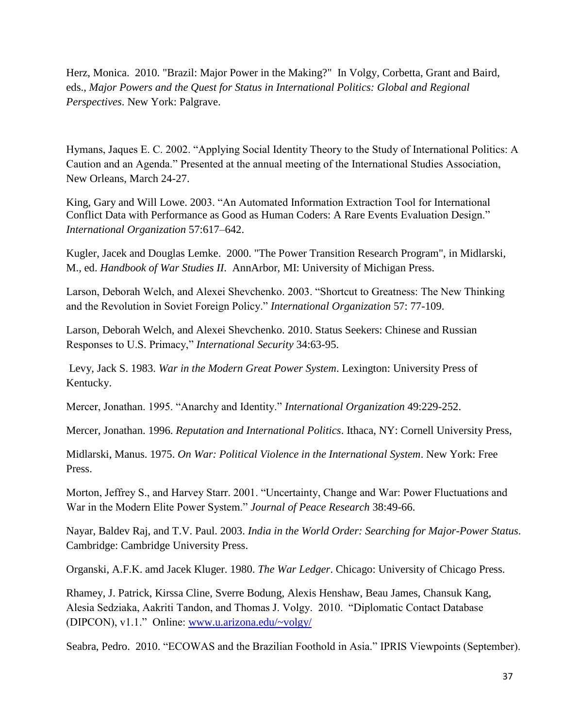Herz, Monica. 2010. "Brazil: Major Power in the Making?" In Volgy, Corbetta, Grant and Baird, eds., *Major Powers and the Quest for Status in International Politics: Global and Regional Perspectives*. New York: Palgrave.

Hymans, Jaques E. C. 2002. "Applying Social Identity Theory to the Study of International Politics: A Caution and an Agenda." Presented at the annual meeting of the International Studies Association, New Orleans, March 24-27.

King, Gary and Will Lowe. 2003. "An Automated Information Extraction Tool for International Conflict Data with Performance as Good as Human Coders: A Rare Events Evaluation Design." *International Organization* 57:617–642.

Kugler, Jacek and Douglas Lemke. 2000. "The Power Transition Research Program", in Midlarski, M., ed. *Handbook of War Studies II*. AnnArbor, MI: University of Michigan Press.

Larson, Deborah Welch, and Alexei Shevchenko. 2003. "Shortcut to Greatness: The New Thinking and the Revolution in Soviet Foreign Policy." *International Organization* 57: 77-109.

Larson, Deborah Welch, and Alexei Shevchenko. 2010. Status Seekers: Chinese and Russian Responses to U.S. Primacy," *International Security* 34:63-95.

Levy, Jack S. 1983. *War in the Modern Great Power System*. Lexington: University Press of Kentucky.

Mercer, Jonathan. 1995. "Anarchy and Identity." *International Organization* 49:229-252.

Mercer, Jonathan. 1996. *Reputation and International Politics*. Ithaca, NY: Cornell University Press,

Midlarski, Manus. 1975. *On War: Political Violence in the International System*. New York: Free Press.

Morton, Jeffrey S., and Harvey Starr. 2001. "Uncertainty, Change and War: Power Fluctuations and War in the Modern Elite Power System." *Journal of Peace Research* 38:49-66.

Nayar, Baldev Raj, and T.V. Paul. 2003. *India in the World Order: Searching for Major-Power Status*. Cambridge: Cambridge University Press.

Organski, A.F.K. amd Jacek Kluger. 1980. *The War Ledger*. Chicago: University of Chicago Press.

Rhamey, J. Patrick, Kirssa Cline, Sverre Bodung, Alexis Henshaw, Beau James, Chansuk Kang, Alesia Sedziaka, Aakriti Tandon, and Thomas J. Volgy. 2010. "Diplomatic Contact Database (DIPCON), v1.1." Online: [www.u.arizona.edu/~volgy/](http://www.u.arizona.edu/~volgy/)

Seabra, Pedro. 2010. "ECOWAS and the Brazilian Foothold in Asia." IPRIS Viewpoints (September).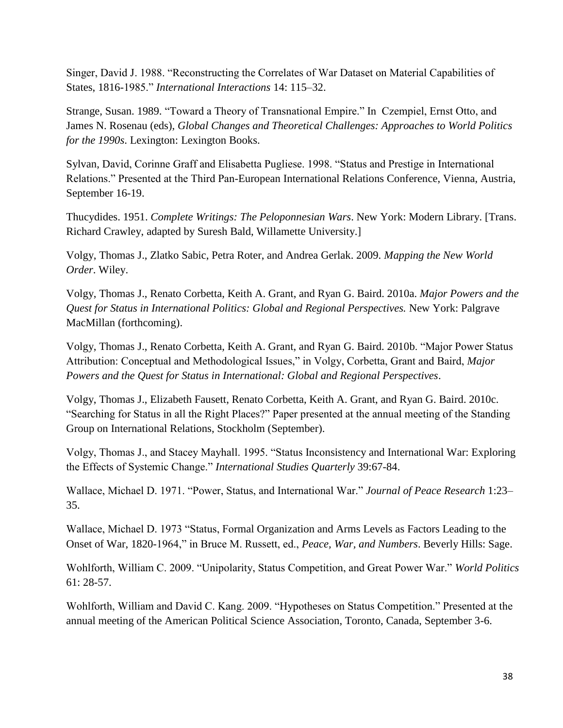Singer, David J. 1988. "Reconstructing the Correlates of War Dataset on Material Capabilities of States, 1816-1985." *International Interactions* 14: 115–32.

Strange, Susan. 1989. "Toward a Theory of Transnational Empire." In Czempiel, Ernst Otto, and James N. Rosenau (eds), *Global Changes and Theoretical Challenges: Approaches to World Politics for the 1990s*. Lexington: Lexington Books.

Sylvan, David, Corinne Graff and Elisabetta Pugliese. 1998. "Status and Prestige in International Relations." Presented at the Third Pan-European International Relations Conference, Vienna, Austria, September 16-19.

Thucydides. 1951. *Complete Writings: The Peloponnesian Wars*. New York: Modern Library. [Trans. Richard Crawley, adapted by Suresh Bald, Willamette University.]

Volgy, Thomas J., Zlatko Sabic, Petra Roter, and Andrea Gerlak. 2009. *Mapping the New World Order*. Wiley.

Volgy, Thomas J., Renato Corbetta, Keith A. Grant, and Ryan G. Baird. 2010a. *Major Powers and the Quest for Status in International Politics: Global and Regional Perspectives.* New York: Palgrave MacMillan (forthcoming).

Volgy, Thomas J., Renato Corbetta, Keith A. Grant, and Ryan G. Baird. 2010b. "Major Power Status Attribution: Conceptual and Methodological Issues," in Volgy, Corbetta, Grant and Baird, *Major Powers and the Quest for Status in International: Global and Regional Perspectives*.

Volgy, Thomas J., Elizabeth Fausett, Renato Corbetta, Keith A. Grant, and Ryan G. Baird. 2010c. "Searching for Status in all the Right Places?" Paper presented at the annual meeting of the Standing Group on International Relations, Stockholm (September).

Volgy, Thomas J., and Stacey Mayhall. 1995. "Status Inconsistency and International War: Exploring the Effects of Systemic Change." *International Studies Quarterly* 39:67-84.

Wallace, Michael D. 1971. "Power, Status, and International War." *Journal of Peace Research* 1:23– 35.

Wallace, Michael D. 1973 "Status, Formal Organization and Arms Levels as Factors Leading to the Onset of War, 1820-1964," in Bruce M. Russett, ed., *Peace, War, and Numbers*. Beverly Hills: Sage.

Wohlforth, William C. 2009. "Unipolarity, Status Competition, and Great Power War." *World Politics* 61: 28-57.

Wohlforth, William and David C. Kang. 2009. "Hypotheses on Status Competition." Presented at the annual meeting of the American Political Science Association, Toronto, Canada, September 3-6.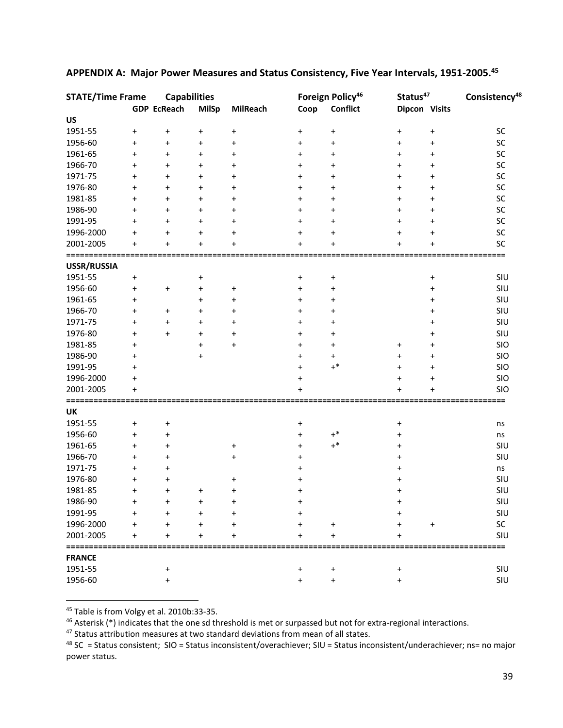| <b>STATE/Time Frame</b>      |           | <b>Capabilities</b> |              |                 |                                  | Foreign Policy <sup>46</sup> | Status <sup>47</sup> |                                  | Consistency <sup>48</sup> |
|------------------------------|-----------|---------------------|--------------|-----------------|----------------------------------|------------------------------|----------------------|----------------------------------|---------------------------|
|                              |           | <b>GDP EcReach</b>  | <b>MilSp</b> | <b>MilReach</b> | Coop                             | <b>Conflict</b>              | Dipcon Visits        |                                  |                           |
| <b>US</b>                    |           |                     |              |                 |                                  |                              |                      |                                  |                           |
| 1951-55                      | $\pmb{+}$ | $\ddot{}$           | $\ddot{}$    | $\pmb{+}$       | $\ddot{}$                        | $\pmb{+}$                    | $\ddot{}$            | $\begin{array}{c} + \end{array}$ | SC                        |
| 1956-60                      | $\ddot{}$ | $\ddot{}$           | $\ddot{}$    | $\ddot{}$       | $\ddot{}$                        | $\ddot{}$                    | $\ddot{}$            | $\pmb{+}$                        | SC                        |
| 1961-65                      | $\ddot{}$ | +                   | $\ddot{}$    | $\pmb{+}$       | $\pmb{+}$                        | $\pmb{+}$                    | $\ddot{}$            | $\pmb{+}$                        | SC                        |
| 1966-70                      | $\ddot{}$ | +                   | $\ddot{}$    | $\ddot{}$       | $\pmb{+}$                        | $\pmb{+}$                    | $\ddot{}$            | $\pmb{+}$                        | SC                        |
| 1971-75                      | $\ddot{}$ | $\ddot{}$           | $\ddot{}$    | $\ddot{}$       | $\pmb{+}$                        | $\pmb{+}$                    | $\ddot{}$            | $\pmb{+}$                        | SC                        |
| 1976-80                      | $\ddot{}$ | $\ddot{}$           | $\ddot{}$    | $\ddot{}$       | $\pmb{+}$                        | $\pmb{+}$                    | $\ddot{}$            | $\pmb{+}$                        | SC                        |
| 1981-85                      | $\ddot{}$ | $\ddot{}$           | $\ddot{}$    | $\ddot{}$       | $\pmb{+}$                        | $\ddot{}$                    | $\ddot{}$            | $\ddot{}$                        | SC                        |
| 1986-90                      | $\ddot{}$ | $\ddot{}$           | $\ddot{}$    | $\ddot{}$       | $\pmb{+}$                        | $\pmb{+}$                    | $\ddot{}$            | $\pmb{+}$                        | SC                        |
| 1991-95                      | $\ddot{}$ | $\ddot{}$           | $\ddot{}$    | $\ddot{}$       | $\pmb{+}$                        | $\ddot{}$                    | $\ddot{}$            | $\pmb{+}$                        | SC                        |
| 1996-2000                    | $\ddot{}$ | $\ddot{}$           | $\ddot{}$    | $\ddot{}$       | $\pmb{+}$                        | $\pmb{+}$                    | $\ddot{}$            | $\pmb{+}$                        | SC                        |
| 2001-2005                    | $\ddot{}$ | $\ddot{}$           | $\ddot{}$    | $\ddot{}$       | $\ddot{}$                        | $\pmb{+}$                    | $\ddot{}$            | $\ddot{}$                        | SC                        |
| =============<br>USSR/RUSSIA |           |                     |              |                 |                                  |                              |                      |                                  | ===                       |
| 1951-55                      | $\pmb{+}$ |                     | $\ddot{}$    |                 | $\ddot{}$                        | $\pmb{+}$                    |                      | $\begin{array}{c} + \end{array}$ | SIU                       |
| 1956-60                      | $\pmb{+}$ | $\ddot{}$           | $\pmb{+}$    | $\pmb{+}$       | $\ddot{}$                        | $\pmb{+}$                    |                      | $\pmb{+}$                        | SIU                       |
| 1961-65                      | $\ddot{}$ |                     | $\ddot{}$    | $\ddot{}$       | $\pmb{+}$                        | $\pmb{+}$                    |                      | $\pmb{+}$                        | SIU                       |
| 1966-70                      | $\ddot{}$ | $\ddot{}$           | $\ddot{}$    | $\pmb{+}$       | $\pmb{+}$                        | +                            |                      | +                                | SIU                       |
| 1971-75                      | $\ddot{}$ | $\ddot{}$           | $\ddot{}$    | $\pmb{+}$       | $\pmb{+}$                        | $\pmb{+}$                    |                      | +                                | SIU                       |
| 1976-80                      | $\ddot{}$ | $\ddot{}$           | $\ddot{}$    | $\ddot{}$       | $\pmb{+}$                        | $\pmb{+}$                    |                      | +                                | SIU                       |
| 1981-85                      | $\ddot{}$ |                     | $\ddot{}$    | $\ddot{}$       | $\ddot{}$                        | $\pmb{+}$                    | $\ddot{}$            | $\pmb{+}$                        | SIO                       |
| 1986-90                      | $\ddot{}$ |                     | $\ddot{}$    |                 | $\ddot{}$                        | +                            | $\ddot{}$            | $\pmb{+}$                        | SIO                       |
| 1991-95                      | $\ddot{}$ |                     |              |                 | $\ddot{}$                        | $+^*$                        | $\ddot{}$            | $\pmb{+}$                        | SIO                       |
| 1996-2000                    | $\ddot{}$ |                     |              |                 | $\ddot{}$                        |                              | $\ddot{}$            | $\pmb{+}$                        | SIO                       |
| 2001-2005                    | $\ddot{}$ |                     |              |                 | 4                                |                              | $\div$               | $\ddot{}$                        | <b>SIO</b>                |
|                              |           |                     |              |                 |                                  |                              |                      |                                  | =========                 |
| UK<br>1951-55                | $\pmb{+}$ | $\ddot{}$           |              |                 | $\ddot{}$                        |                              | $\ddot{}$            |                                  | ns                        |
| 1956-60                      | $\ddot{}$ | $\ddot{}$           |              |                 | $\ddot{}$                        | $\mathrm{+}^*$               | $\ddot{}$            |                                  | ns                        |
| 1961-65                      | $\ddot{}$ | $\ddot{}$           |              | $\pmb{+}$       | $\ddot{}$                        | $+^*$                        | $\ddot{}$            |                                  | SIU                       |
| 1966-70                      | $\ddot{}$ | $\ddot{}$           |              | $\ddot{}$       | $\ddot{}$                        |                              | +                    |                                  | SIU                       |
| 1971-75                      | +         | $\pmb{+}$           |              |                 | +                                |                              | +                    |                                  | ns                        |
| 1976-80                      | +         | +                   |              | $\pmb{+}$       | $\pmb{+}$                        |                              |                      |                                  | SIU                       |
| 1981-85                      | $\ddot{}$ | $\ddot{}$           | $\ddot{}$    | $\pmb{+}$       | +                                |                              | +                    |                                  | SIU                       |
| 1986-90                      |           |                     |              |                 |                                  |                              |                      |                                  | SIU                       |
| 1991-95                      | $\pmb{+}$ |                     | $\ddot{}$    | +               | $\ddot{}$                        |                              |                      |                                  | SIU                       |
| 1996-2000                    | $\ddot{}$ | $\ddot{}$           | $\ddot{}$    | $\pmb{+}$       | +                                | $\ddot{}$                    |                      | $\ddot{}$                        | SC                        |
| 2001-2005                    | $\ddot{}$ | +                   | $\ddot{}$    | $\ddot{}$       | $\ddot{}$                        | $\ddot{}$                    |                      |                                  | SIU                       |
| ================             |           |                     |              |                 |                                  |                              |                      |                                  | =========                 |
| <b>FRANCE</b>                |           |                     |              |                 |                                  |                              |                      |                                  |                           |
| 1951-55                      |           | $\ddot{}$           |              |                 | $\ddot{}$                        | $\pmb{+}$                    | $\ddot{}$            |                                  | SIU                       |
| 1956-60                      |           | $\ddot{}$           |              |                 | $\begin{array}{c} + \end{array}$ | $\ddot{}$                    | $\ddot{}$            |                                  | SIU                       |

## **APPENDIX A: Major Power Measures and Status Consistency, Five Year Intervals, 1951-2005. 45**

<sup>45</sup> Table is from Volgy et al. 2010b:33-35.

l

<sup>46</sup> Asterisk (\*) indicates that the one sd threshold is met or surpassed but not for extra-regional interactions.

47 Status attribution measures at two standard deviations from mean of all states.

 $48$  SC = Status consistent; SIO = Status inconsistent/overachiever; SIU = Status inconsistent/underachiever; ns= no major power status.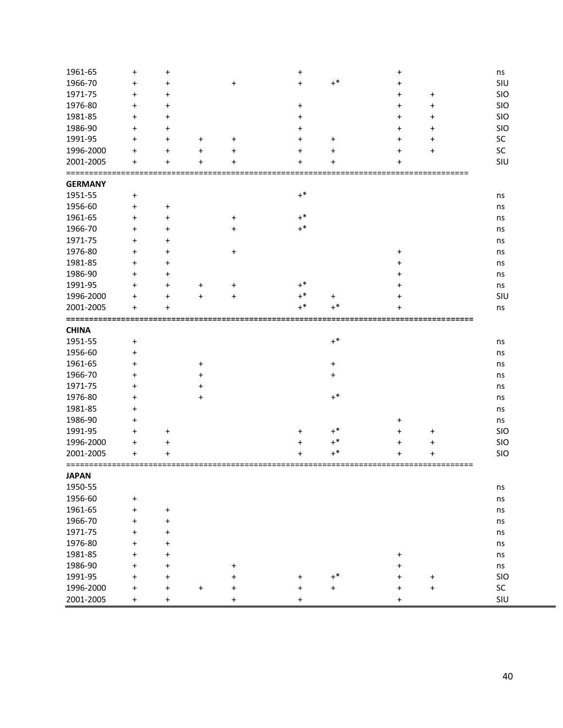| 1961-65                   | $\ddot{}$                        | $\begin{array}{c} + \end{array}$ |           |                                  | $\pmb{+}$              |                                  | +                      |           | ns        |
|---------------------------|----------------------------------|----------------------------------|-----------|----------------------------------|------------------------|----------------------------------|------------------------|-----------|-----------|
| 1966-70                   | $\ddot{}$                        | $\pmb{+}$                        |           | $\ddot{}$                        | $\ddot{}$              | $+^*$                            | $\ddot{}$              |           | SIU       |
| 1971-75                   | $\ddot{}$                        | $\pmb{+}$                        |           |                                  |                        |                                  | +                      | $\ddot{}$ | SIO       |
| 1976-80                   | $\ddot{}$                        | +                                |           |                                  | $\ddot{}$              |                                  | $\ddot{}$              | $\ddot{}$ | SIO       |
| 1981-85                   | $\ddot{}$                        | $\pmb{+}$                        |           |                                  | +                      |                                  | $\ddot{}$              | $\ddot{}$ | SIO       |
| 1986-90                   | $\ddot{}$                        | $\ddot{}$                        |           |                                  | +                      |                                  | $\pmb{+}$              | $\ddot{}$ | SIO       |
| 1991-95                   | $\ddot{}$                        | $\ddot{}$                        | $\pmb{+}$ | $\ddot{}$                        | +                      | $\ddot{}$                        | $\ddot{}$              | $\ddot{}$ | SC        |
| 1996-2000                 | $\ddot{}$                        | $\ddot{}$                        | $\pmb{+}$ | $\ddot{}$                        | +                      | $\ddot{}$                        | +                      | $\ddot{}$ | SC        |
| 2001-2005                 | $\ddot{}$                        | $\ddot{}$                        | +         | $\ddot{}$                        | +                      | $\pmb{+}$                        | +                      |           | SIU       |
| ========                  |                                  |                                  |           |                                  |                        |                                  |                        |           |           |
| <b>GERMANY</b><br>1951-55 | $\ddot{}$                        |                                  |           |                                  | $+^*$                  |                                  |                        |           |           |
| 1956-60                   | $\begin{array}{c} + \end{array}$ |                                  |           |                                  |                        |                                  |                        |           | ns        |
| 1961-65                   | $\begin{array}{c} + \end{array}$ | $\ddot{}$<br>$\pmb{+}$           |           | $\ddot{}$                        | $+^*$                  |                                  |                        |           | ns        |
| 1966-70                   |                                  |                                  |           |                                  | $+^*$                  |                                  |                        |           | ns        |
|                           | $\ddot{}$                        | $\pmb{+}$                        |           | $\ddot{}$                        |                        |                                  |                        |           | ns        |
| 1971-75                   | $\ddot{}$                        | $\pmb{+}$                        |           |                                  |                        |                                  |                        |           | ns        |
| 1976-80                   | $\ddot{}$                        | $\pmb{+}$                        |           | $\begin{array}{c} + \end{array}$ |                        |                                  | $\ddot{}$              |           | ns        |
| 1981-85                   | $\ddot{}$                        | $\pmb{+}$                        |           |                                  |                        |                                  | +                      |           | ns        |
| 1986-90                   | $\ddot{}$                        | $\pmb{+}$                        |           |                                  |                        |                                  | +                      |           | ns        |
| 1991-95                   | $\ddot{}$                        | $\pmb{+}$                        | $\ddot{}$ | $\ddot{}$                        | $+^*$                  |                                  | +                      |           | ns        |
| 1996-2000                 | $\ddot{}$                        | $\pmb{+}$                        | $\ddot{}$ | $\ddot{}$                        | $+^*$                  | $\ddot{}$                        | +                      |           | SIU       |
| 2001-2005                 | $\ddot{}$                        |                                  |           |                                  | $+^*$                  | $^{+*}$                          |                        |           | ns        |
| <b>CHINA</b>              |                                  |                                  |           |                                  |                        |                                  |                        |           |           |
|                           |                                  |                                  |           |                                  |                        |                                  |                        |           |           |
|                           |                                  |                                  |           |                                  |                        |                                  |                        |           |           |
| 1951-55                   | $\ddot{}$                        |                                  |           |                                  |                        | $+^*$                            |                        |           | ns        |
| 1956-60                   | $\ddot{}$                        |                                  |           |                                  |                        |                                  |                        |           | ns        |
| 1961-65                   | $\ddot{}$                        |                                  | $\ddot{}$ |                                  |                        | $\ddot{}$                        |                        |           | ns        |
| 1966-70                   | $\ddot{}$                        |                                  | +         |                                  |                        | $\ddot{}$                        |                        |           | ns        |
| 1971-75                   | $\ddot{}$                        |                                  | +         |                                  |                        |                                  |                        |           | ns        |
| 1976-80                   | $\ddot{}$                        |                                  | +         |                                  |                        | $+^*$                            |                        |           | ns        |
| 1981-85                   | $\ddot{}$                        |                                  |           |                                  |                        |                                  |                        |           | ns        |
| 1986-90                   | $\ddot{}$                        |                                  |           |                                  |                        |                                  | +                      |           | ns        |
| 1991-95                   | $\ddot{}$                        | $\ddot{}$                        |           |                                  | $\pmb{+}$              | $+^*$                            | $\ddot{}$              | $\ddot{}$ | SIO       |
| 1996-2000                 | $\ddot{}$                        | $\pmb{+}$                        |           |                                  | +                      | $+^*$                            | $\ddot{}$              | $\ddot{}$ | SIO       |
| 2001-2005                 | $\pmb{+}$                        |                                  |           |                                  |                        | $+^*$                            | $\ddot{}$              |           | SIO       |
| <b>JAPAN</b>              |                                  |                                  |           |                                  |                        |                                  |                        |           |           |
|                           |                                  |                                  |           |                                  |                        |                                  |                        |           | ns        |
| 1950-55<br>1956-60        | $\ddot{}$                        |                                  |           |                                  |                        |                                  |                        |           | ns        |
|                           | $\begin{array}{c} + \end{array}$ | $\ddot{}$                        |           |                                  |                        |                                  |                        |           | ns        |
| 1961-65                   | $\ddot{}$                        | $\ddot{}$                        |           |                                  |                        |                                  |                        |           | ns        |
| 1966-70                   | $\ddot{}$                        | $\pmb{+}$                        |           |                                  |                        |                                  |                        |           |           |
| 1971-75                   | $\ddot{}$                        |                                  |           |                                  |                        |                                  |                        |           | ns        |
| 1976-80                   | $\ddot{}$                        | $\pmb{+}$                        |           |                                  |                        |                                  |                        |           | ns        |
| 1981-85                   |                                  | $\pmb{+}$                        |           |                                  |                        |                                  | $\pmb{+}$              |           | ns        |
| 1986-90                   | $\ddot{}$                        | $\pmb{+}$                        |           | $\ddot{}$                        |                        |                                  | $\ddot{}$              |           | $\sf ns$  |
| 1991-95                   | $\ddot{}$                        | $\pmb{+}$                        |           | $\ddot{}$                        | $\ddot{}$              | $+^*$                            | $\ddot{}$              | $\ddot{}$ | SIO       |
| 1996-2000<br>2001-2005    | $\ddot{}$<br>$\ddot{}$           | $\pmb{+}$<br>$\ddot{}$           | $\ddot{}$ | $\ddot{}$<br>$\ddot{}$           | $\ddot{}$<br>$\ddot{}$ | $\begin{array}{c} + \end{array}$ | $\ddot{}$<br>$\ddot{}$ | $\ddot{}$ | SC<br>SIU |